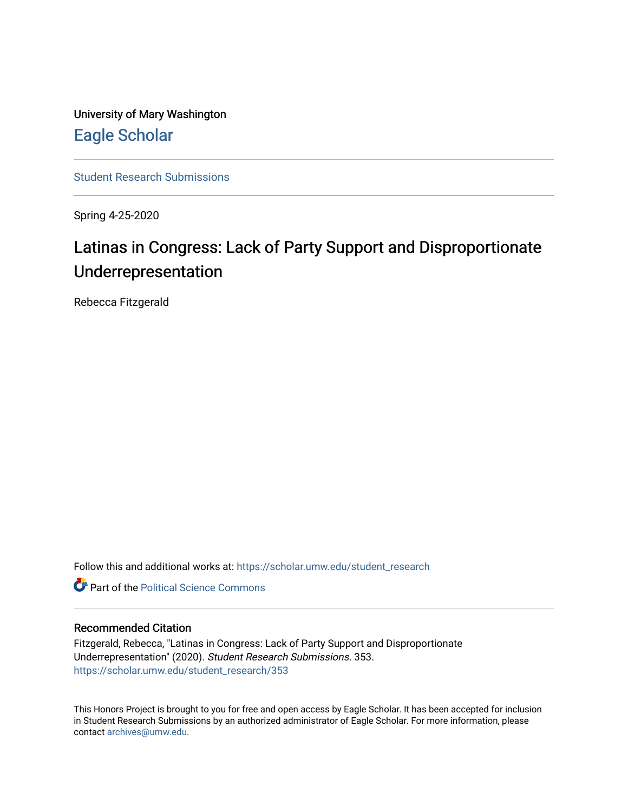University of Mary Washington [Eagle Scholar](https://scholar.umw.edu/) 

[Student Research Submissions](https://scholar.umw.edu/student_research) 

Spring 4-25-2020

# Latinas in Congress: Lack of Party Support and Disproportionate Underrepresentation

Rebecca Fitzgerald

Follow this and additional works at: [https://scholar.umw.edu/student\\_research](https://scholar.umw.edu/student_research?utm_source=scholar.umw.edu%2Fstudent_research%2F353&utm_medium=PDF&utm_campaign=PDFCoverPages)

**C** Part of the Political Science Commons

# Recommended Citation

Fitzgerald, Rebecca, "Latinas in Congress: Lack of Party Support and Disproportionate Underrepresentation" (2020). Student Research Submissions. 353. [https://scholar.umw.edu/student\\_research/353](https://scholar.umw.edu/student_research/353?utm_source=scholar.umw.edu%2Fstudent_research%2F353&utm_medium=PDF&utm_campaign=PDFCoverPages)

This Honors Project is brought to you for free and open access by Eagle Scholar. It has been accepted for inclusion in Student Research Submissions by an authorized administrator of Eagle Scholar. For more information, please contact [archives@umw.edu](mailto:archives@umw.edu).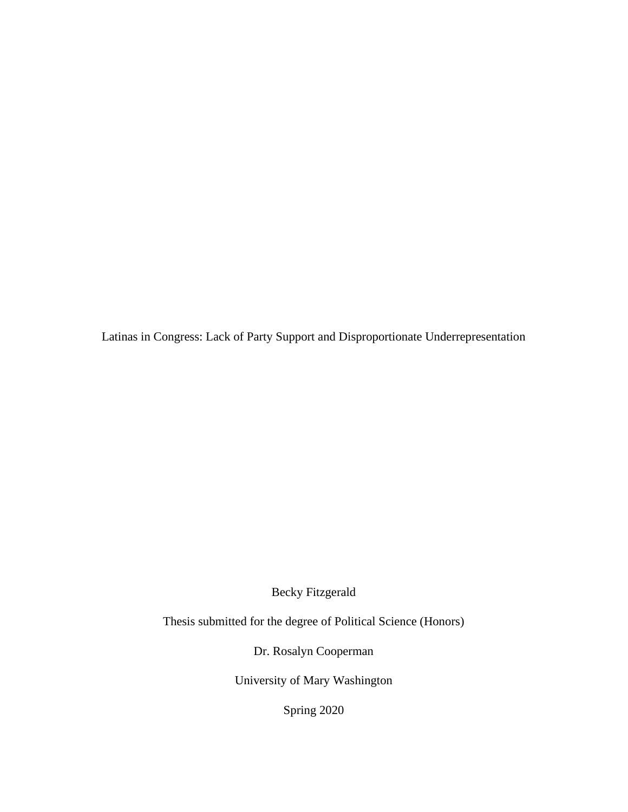Latinas in Congress: Lack of Party Support and Disproportionate Underrepresentation

Becky Fitzgerald

Thesis submitted for the degree of Political Science (Honors)

Dr. Rosalyn Cooperman

University of Mary Washington

Spring 2020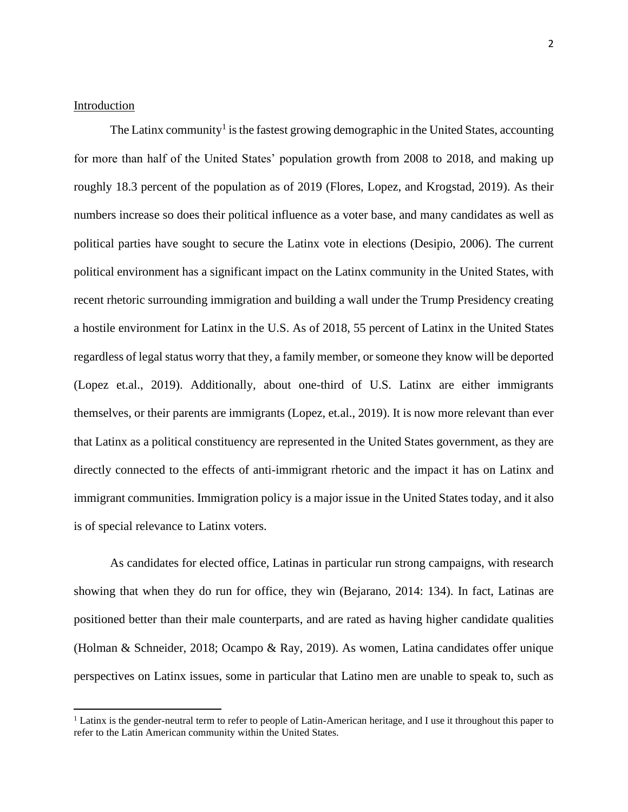# Introduction

The Latinx community<sup>1</sup> is the fastest growing demographic in the United States, accounting for more than half of the United States' population growth from 2008 to 2018, and making up roughly 18.3 percent of the population as of 2019 (Flores, Lopez, and Krogstad, 2019). As their numbers increase so does their political influence as a voter base, and many candidates as well as political parties have sought to secure the Latinx vote in elections (Desipio, 2006). The current political environment has a significant impact on the Latinx community in the United States, with recent rhetoric surrounding immigration and building a wall under the Trump Presidency creating a hostile environment for Latinx in the U.S. As of 2018, 55 percent of Latinx in the United States regardless of legal status worry that they, a family member, or someone they know will be deported (Lopez et.al., 2019). Additionally, about one-third of U.S. Latinx are either immigrants themselves, or their parents are immigrants (Lopez, et.al., 2019). It is now more relevant than ever that Latinx as a political constituency are represented in the United States government, as they are directly connected to the effects of anti-immigrant rhetoric and the impact it has on Latinx and immigrant communities. Immigration policy is a major issue in the United States today, and it also is of special relevance to Latinx voters.

As candidates for elected office, Latinas in particular run strong campaigns, with research showing that when they do run for office, they win (Bejarano, 2014: 134). In fact, Latinas are positioned better than their male counterparts, and are rated as having higher candidate qualities (Holman & Schneider, 2018; Ocampo & Ray, 2019). As women, Latina candidates offer unique perspectives on Latinx issues, some in particular that Latino men are unable to speak to, such as

<sup>&</sup>lt;sup>1</sup> Latinx is the gender-neutral term to refer to people of Latin-American heritage, and I use it throughout this paper to refer to the Latin American community within the United States.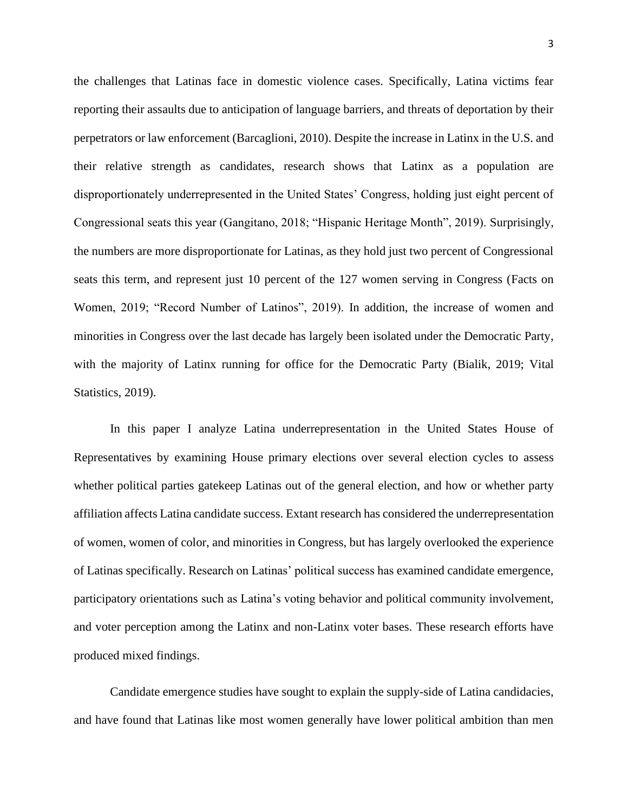the challenges that Latinas face in domestic violence cases. Specifically, Latina victims fear reporting their assaults due to anticipation of language barriers, and threats of deportation by their perpetrators or law enforcement (Barcaglioni, 2010). Despite the increase in Latinx in the U.S. and their relative strength as candidates, research shows that Latinx as a population are disproportionately underrepresented in the United States' Congress, holding just eight percent of Congressional seats this year (Gangitano, 2018; "Hispanic Heritage Month", 2019). Surprisingly, the numbers are more disproportionate for Latinas, as they hold just two percent of Congressional seats this term, and represent just 10 percent of the 127 women serving in Congress (Facts on Women, 2019; "Record Number of Latinos", 2019). In addition, the increase of women and minorities in Congress over the last decade has largely been isolated under the Democratic Party, with the majority of Latinx running for office for the Democratic Party (Bialik, 2019; Vital Statistics, 2019).

In this paper I analyze Latina underrepresentation in the United States House of Representatives by examining House primary elections over several election cycles to assess whether political parties gatekeep Latinas out of the general election, and how or whether party affiliation affects Latina candidate success. Extant research has considered the underrepresentation of women, women of color, and minorities in Congress, but has largely overlooked the experience of Latinas specifically. Research on Latinas' political success has examined candidate emergence, participatory orientations such as Latina's voting behavior and political community involvement, and voter perception among the Latinx and non-Latinx voter bases. These research efforts have produced mixed findings.

Candidate emergence studies have sought to explain the supply-side of Latina candidacies, and have found that Latinas like most women generally have lower political ambition than men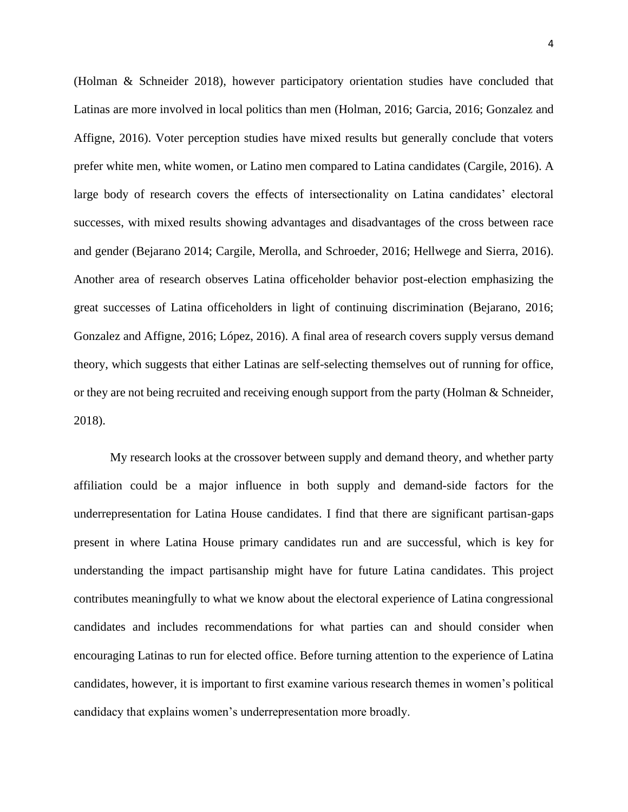(Holman & Schneider 2018), however participatory orientation studies have concluded that Latinas are more involved in local politics than men (Holman, 2016; Garcia, 2016; Gonzalez and Affigne, 2016). Voter perception studies have mixed results but generally conclude that voters prefer white men, white women, or Latino men compared to Latina candidates (Cargile, 2016). A large body of research covers the effects of intersectionality on Latina candidates' electoral successes, with mixed results showing advantages and disadvantages of the cross between race and gender (Bejarano 2014; Cargile, Merolla, and Schroeder, 2016; Hellwege and Sierra, 2016). Another area of research observes Latina officeholder behavior post-election emphasizing the great successes of Latina officeholders in light of continuing discrimination (Bejarano, 2016; Gonzalez and Affigne, 2016; López, 2016). A final area of research covers supply versus demand theory, which suggests that either Latinas are self-selecting themselves out of running for office, or they are not being recruited and receiving enough support from the party (Holman & Schneider, 2018).

My research looks at the crossover between supply and demand theory, and whether party affiliation could be a major influence in both supply and demand-side factors for the underrepresentation for Latina House candidates. I find that there are significant partisan-gaps present in where Latina House primary candidates run and are successful, which is key for understanding the impact partisanship might have for future Latina candidates. This project contributes meaningfully to what we know about the electoral experience of Latina congressional candidates and includes recommendations for what parties can and should consider when encouraging Latinas to run for elected office. Before turning attention to the experience of Latina candidates, however, it is important to first examine various research themes in women's political candidacy that explains women's underrepresentation more broadly.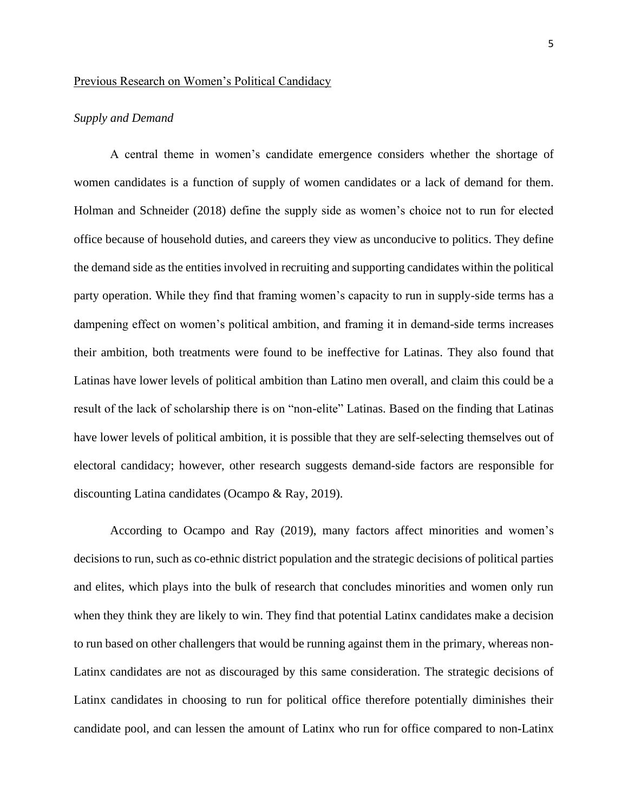## Previous Research on Women's Political Candidacy

# *Supply and Demand*

A central theme in women's candidate emergence considers whether the shortage of women candidates is a function of supply of women candidates or a lack of demand for them. Holman and Schneider (2018) define the supply side as women's choice not to run for elected office because of household duties, and careers they view as unconducive to politics. They define the demand side as the entities involved in recruiting and supporting candidates within the political party operation. While they find that framing women's capacity to run in supply-side terms has a dampening effect on women's political ambition, and framing it in demand-side terms increases their ambition, both treatments were found to be ineffective for Latinas. They also found that Latinas have lower levels of political ambition than Latino men overall, and claim this could be a result of the lack of scholarship there is on "non-elite" Latinas. Based on the finding that Latinas have lower levels of political ambition, it is possible that they are self-selecting themselves out of electoral candidacy; however, other research suggests demand-side factors are responsible for discounting Latina candidates (Ocampo & Ray, 2019).

According to Ocampo and Ray (2019), many factors affect minorities and women's decisions to run, such as co-ethnic district population and the strategic decisions of political parties and elites, which plays into the bulk of research that concludes minorities and women only run when they think they are likely to win. They find that potential Latinx candidates make a decision to run based on other challengers that would be running against them in the primary, whereas non-Latinx candidates are not as discouraged by this same consideration. The strategic decisions of Latinx candidates in choosing to run for political office therefore potentially diminishes their candidate pool, and can lessen the amount of Latinx who run for office compared to non-Latinx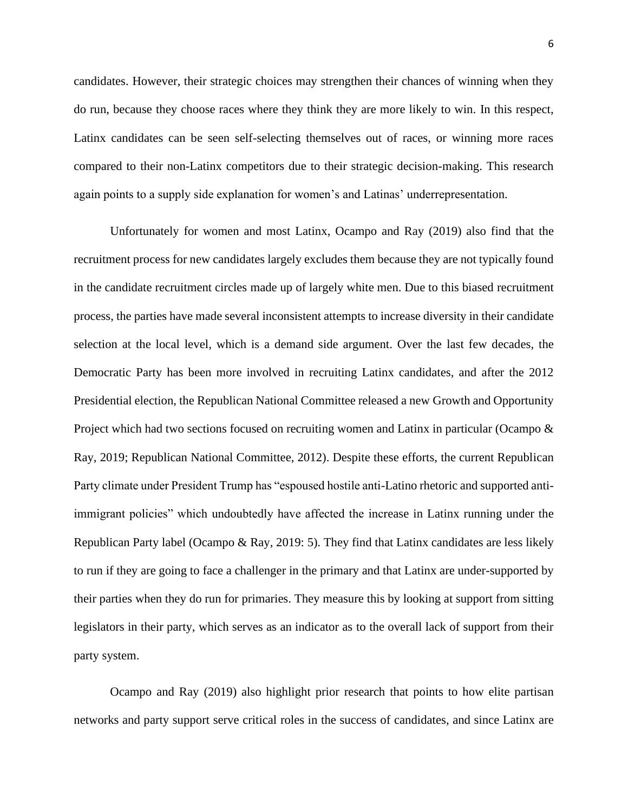candidates. However, their strategic choices may strengthen their chances of winning when they do run, because they choose races where they think they are more likely to win. In this respect, Latinx candidates can be seen self-selecting themselves out of races, or winning more races compared to their non-Latinx competitors due to their strategic decision-making. This research again points to a supply side explanation for women's and Latinas' underrepresentation.

Unfortunately for women and most Latinx, Ocampo and Ray (2019) also find that the recruitment process for new candidates largely excludes them because they are not typically found in the candidate recruitment circles made up of largely white men. Due to this biased recruitment process, the parties have made several inconsistent attempts to increase diversity in their candidate selection at the local level, which is a demand side argument. Over the last few decades, the Democratic Party has been more involved in recruiting Latinx candidates, and after the 2012 Presidential election, the Republican National Committee released a new Growth and Opportunity Project which had two sections focused on recruiting women and Latinx in particular (Ocampo & Ray, 2019; Republican National Committee, 2012). Despite these efforts, the current Republican Party climate under President Trump has "espoused hostile anti-Latino rhetoric and supported antiimmigrant policies" which undoubtedly have affected the increase in Latinx running under the Republican Party label (Ocampo & Ray, 2019: 5). They find that Latinx candidates are less likely to run if they are going to face a challenger in the primary and that Latinx are under-supported by their parties when they do run for primaries. They measure this by looking at support from sitting legislators in their party, which serves as an indicator as to the overall lack of support from their party system.

Ocampo and Ray (2019) also highlight prior research that points to how elite partisan networks and party support serve critical roles in the success of candidates, and since Latinx are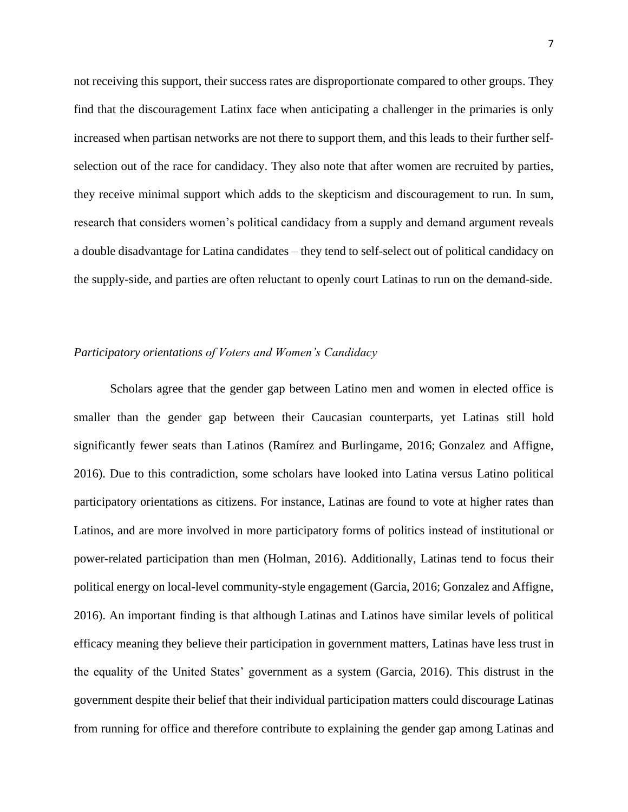not receiving this support, their success rates are disproportionate compared to other groups. They find that the discouragement Latinx face when anticipating a challenger in the primaries is only increased when partisan networks are not there to support them, and this leads to their further selfselection out of the race for candidacy. They also note that after women are recruited by parties, they receive minimal support which adds to the skepticism and discouragement to run. In sum, research that considers women's political candidacy from a supply and demand argument reveals a double disadvantage for Latina candidates – they tend to self-select out of political candidacy on the supply-side, and parties are often reluctant to openly court Latinas to run on the demand-side.

# *Participatory orientations of Voters and Women's Candidacy*

Scholars agree that the gender gap between Latino men and women in elected office is smaller than the gender gap between their Caucasian counterparts, yet Latinas still hold significantly fewer seats than Latinos (Ramírez and Burlingame, 2016; Gonzalez and Affigne, 2016). Due to this contradiction, some scholars have looked into Latina versus Latino political participatory orientations as citizens. For instance, Latinas are found to vote at higher rates than Latinos, and are more involved in more participatory forms of politics instead of institutional or power-related participation than men (Holman, 2016). Additionally, Latinas tend to focus their political energy on local-level community-style engagement (Garcia, 2016; Gonzalez and Affigne, 2016). An important finding is that although Latinas and Latinos have similar levels of political efficacy meaning they believe their participation in government matters, Latinas have less trust in the equality of the United States' government as a system (Garcia, 2016). This distrust in the government despite their belief that their individual participation matters could discourage Latinas from running for office and therefore contribute to explaining the gender gap among Latinas and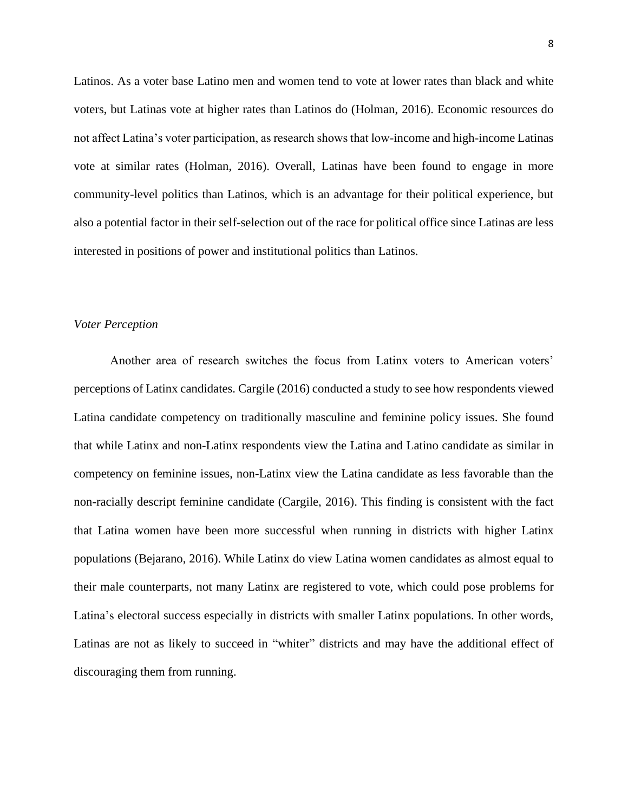Latinos. As a voter base Latino men and women tend to vote at lower rates than black and white voters, but Latinas vote at higher rates than Latinos do (Holman, 2016). Economic resources do not affect Latina's voter participation, as research shows that low-income and high-income Latinas vote at similar rates (Holman, 2016). Overall, Latinas have been found to engage in more community-level politics than Latinos, which is an advantage for their political experience, but also a potential factor in their self-selection out of the race for political office since Latinas are less interested in positions of power and institutional politics than Latinos.

### *Voter Perception*

Another area of research switches the focus from Latinx voters to American voters' perceptions of Latinx candidates. Cargile (2016) conducted a study to see how respondents viewed Latina candidate competency on traditionally masculine and feminine policy issues. She found that while Latinx and non-Latinx respondents view the Latina and Latino candidate as similar in competency on feminine issues, non-Latinx view the Latina candidate as less favorable than the non-racially descript feminine candidate (Cargile, 2016). This finding is consistent with the fact that Latina women have been more successful when running in districts with higher Latinx populations (Bejarano, 2016). While Latinx do view Latina women candidates as almost equal to their male counterparts, not many Latinx are registered to vote, which could pose problems for Latina's electoral success especially in districts with smaller Latinx populations. In other words, Latinas are not as likely to succeed in "whiter" districts and may have the additional effect of discouraging them from running.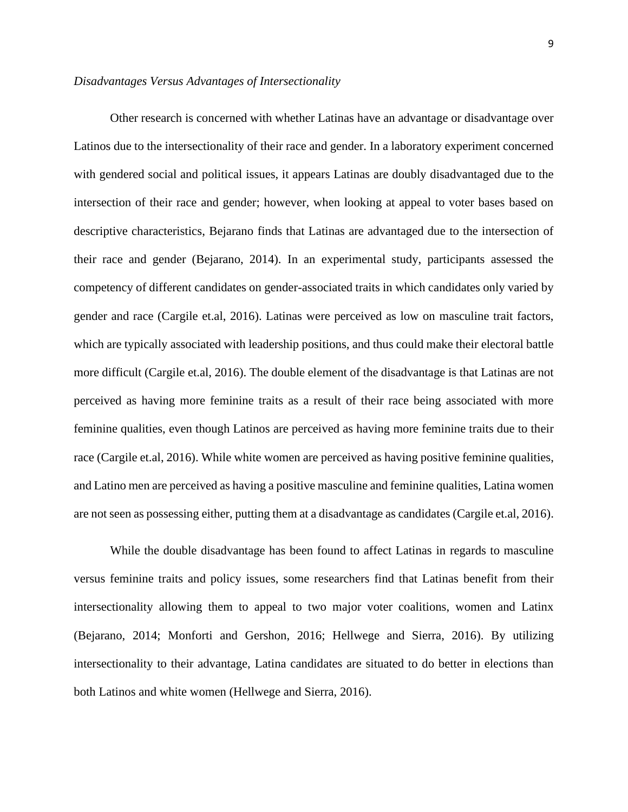## *Disadvantages Versus Advantages of Intersectionality*

Other research is concerned with whether Latinas have an advantage or disadvantage over Latinos due to the intersectionality of their race and gender. In a laboratory experiment concerned with gendered social and political issues, it appears Latinas are doubly disadvantaged due to the intersection of their race and gender; however, when looking at appeal to voter bases based on descriptive characteristics, Bejarano finds that Latinas are advantaged due to the intersection of their race and gender (Bejarano, 2014). In an experimental study, participants assessed the competency of different candidates on gender-associated traits in which candidates only varied by gender and race (Cargile et.al, 2016). Latinas were perceived as low on masculine trait factors, which are typically associated with leadership positions, and thus could make their electoral battle more difficult (Cargile et.al, 2016). The double element of the disadvantage is that Latinas are not perceived as having more feminine traits as a result of their race being associated with more feminine qualities, even though Latinos are perceived as having more feminine traits due to their race (Cargile et.al, 2016). While white women are perceived as having positive feminine qualities, and Latino men are perceived as having a positive masculine and feminine qualities, Latina women are not seen as possessing either, putting them at a disadvantage as candidates (Cargile et.al, 2016).

While the double disadvantage has been found to affect Latinas in regards to masculine versus feminine traits and policy issues, some researchers find that Latinas benefit from their intersectionality allowing them to appeal to two major voter coalitions, women and Latinx (Bejarano, 2014; Monforti and Gershon, 2016; Hellwege and Sierra, 2016). By utilizing intersectionality to their advantage, Latina candidates are situated to do better in elections than both Latinos and white women (Hellwege and Sierra, 2016).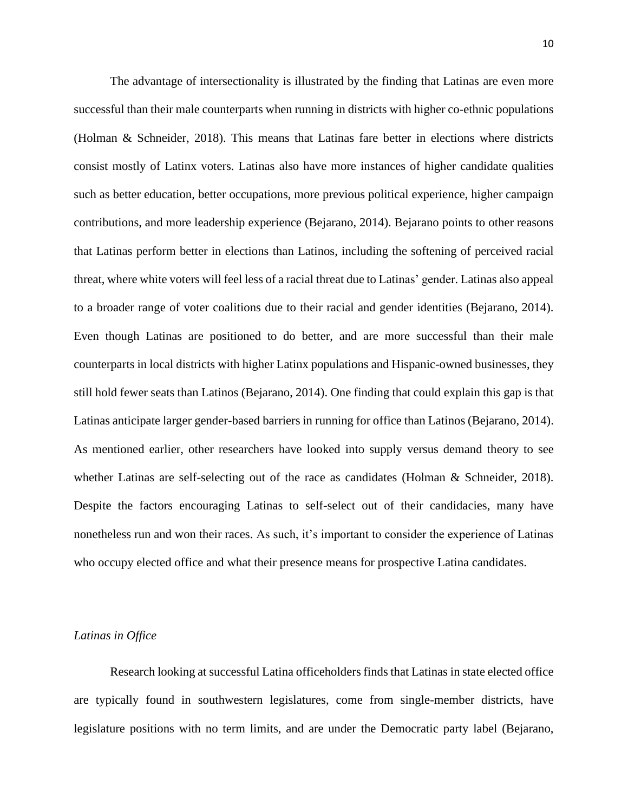The advantage of intersectionality is illustrated by the finding that Latinas are even more successful than their male counterparts when running in districts with higher co-ethnic populations (Holman & Schneider, 2018). This means that Latinas fare better in elections where districts consist mostly of Latinx voters. Latinas also have more instances of higher candidate qualities such as better education, better occupations, more previous political experience, higher campaign contributions, and more leadership experience (Bejarano, 2014). Bejarano points to other reasons that Latinas perform better in elections than Latinos, including the softening of perceived racial threat, where white voters will feel less of a racial threat due to Latinas' gender. Latinas also appeal to a broader range of voter coalitions due to their racial and gender identities (Bejarano, 2014). Even though Latinas are positioned to do better, and are more successful than their male counterparts in local districts with higher Latinx populations and Hispanic-owned businesses, they still hold fewer seats than Latinos (Bejarano, 2014). One finding that could explain this gap is that Latinas anticipate larger gender-based barriers in running for office than Latinos (Bejarano, 2014). As mentioned earlier, other researchers have looked into supply versus demand theory to see whether Latinas are self-selecting out of the race as candidates (Holman & Schneider, 2018). Despite the factors encouraging Latinas to self-select out of their candidacies, many have nonetheless run and won their races. As such, it's important to consider the experience of Latinas who occupy elected office and what their presence means for prospective Latina candidates.

## *Latinas in Office*

Research looking at successful Latina officeholders finds that Latinas in state elected office are typically found in southwestern legislatures, come from single-member districts, have legislature positions with no term limits, and are under the Democratic party label (Bejarano,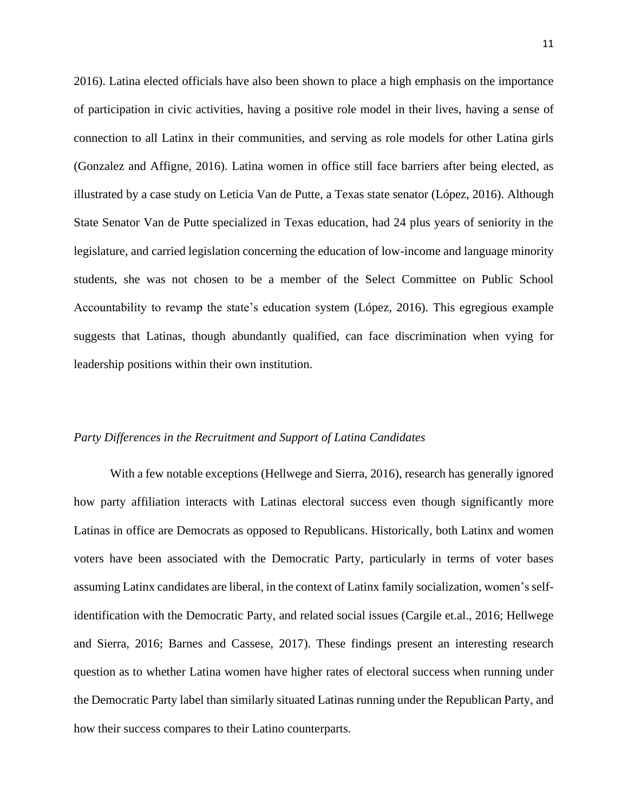2016). Latina elected officials have also been shown to place a high emphasis on the importance of participation in civic activities, having a positive role model in their lives, having a sense of connection to all Latinx in their communities, and serving as role models for other Latina girls (Gonzalez and Affigne, 2016). Latina women in office still face barriers after being elected, as illustrated by a case study on Leticia Van de Putte, a Texas state senator (López, 2016). Although State Senator Van de Putte specialized in Texas education, had 24 plus years of seniority in the legislature, and carried legislation concerning the education of low-income and language minority students, she was not chosen to be a member of the Select Committee on Public School Accountability to revamp the state's education system (López, 2016). This egregious example suggests that Latinas, though abundantly qualified, can face discrimination when vying for leadership positions within their own institution.

# *Party Differences in the Recruitment and Support of Latina Candidates*

With a few notable exceptions (Hellwege and Sierra, 2016), research has generally ignored how party affiliation interacts with Latinas electoral success even though significantly more Latinas in office are Democrats as opposed to Republicans. Historically, both Latinx and women voters have been associated with the Democratic Party, particularly in terms of voter bases assuming Latinx candidates are liberal, in the context of Latinx family socialization, women's selfidentification with the Democratic Party, and related social issues (Cargile et.al., 2016; Hellwege and Sierra, 2016; Barnes and Cassese, 2017). These findings present an interesting research question as to whether Latina women have higher rates of electoral success when running under the Democratic Party label than similarly situated Latinas running under the Republican Party, and how their success compares to their Latino counterparts.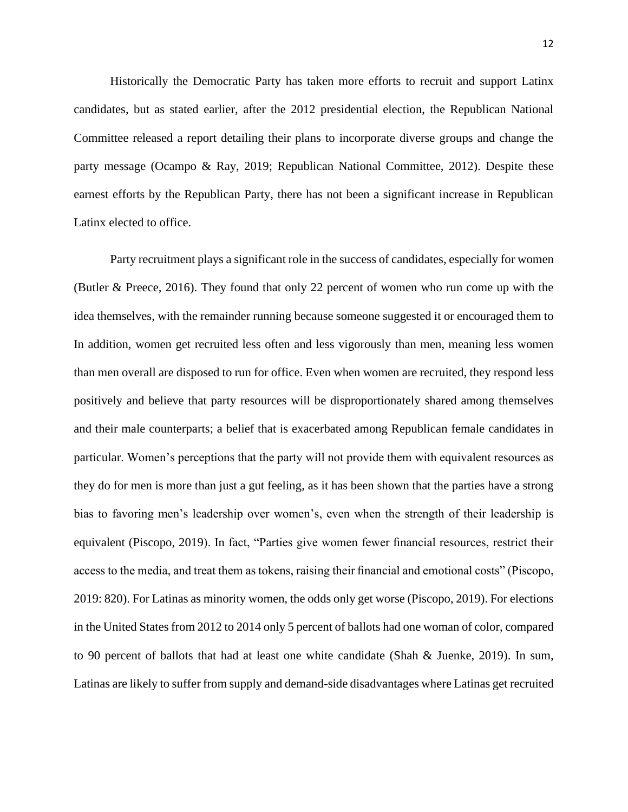Historically the Democratic Party has taken more efforts to recruit and support Latinx candidates, but as stated earlier, after the 2012 presidential election, the Republican National Committee released a report detailing their plans to incorporate diverse groups and change the party message (Ocampo & Ray, 2019; Republican National Committee, 2012). Despite these earnest efforts by the Republican Party, there has not been a significant increase in Republican Latinx elected to office.

Party recruitment plays a significant role in the success of candidates, especially for women (Butler & Preece, 2016). They found that only 22 percent of women who run come up with the idea themselves, with the remainder running because someone suggested it or encouraged them to In addition, women get recruited less often and less vigorously than men, meaning less women than men overall are disposed to run for office. Even when women are recruited, they respond less positively and believe that party resources will be disproportionately shared among themselves and their male counterparts; a belief that is exacerbated among Republican female candidates in particular. Women's perceptions that the party will not provide them with equivalent resources as they do for men is more than just a gut feeling, as it has been shown that the parties have a strong bias to favoring men's leadership over women's, even when the strength of their leadership is equivalent (Piscopo, 2019). In fact, "Parties give women fewer financial resources, restrict their access to the media, and treat them as tokens, raising their financial and emotional costs" (Piscopo, 2019: 820). For Latinas as minority women, the odds only get worse (Piscopo, 2019). For elections in the United States from 2012 to 2014 only 5 percent of ballots had one woman of color, compared to 90 percent of ballots that had at least one white candidate (Shah & Juenke, 2019). In sum, Latinas are likely to suffer from supply and demand-side disadvantages where Latinas get recruited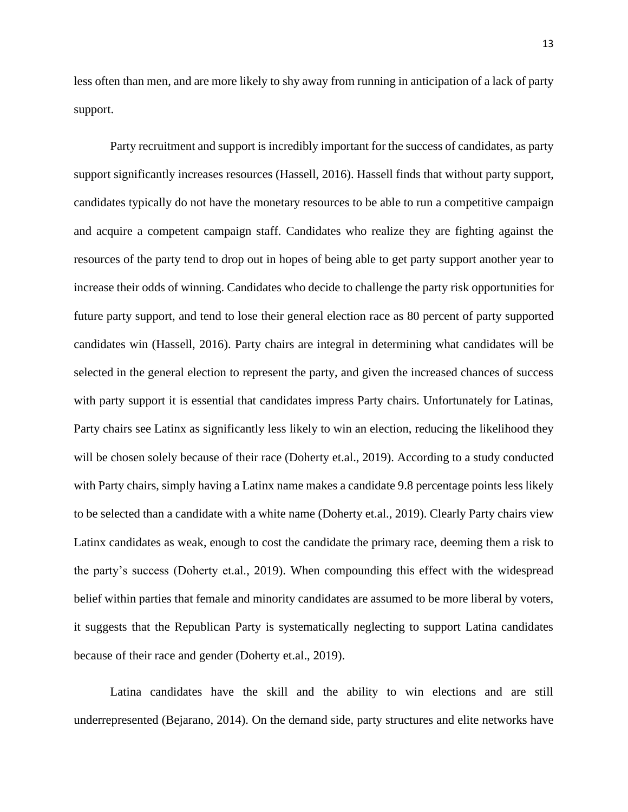less often than men, and are more likely to shy away from running in anticipation of a lack of party support.

Party recruitment and support is incredibly important for the success of candidates, as party support significantly increases resources (Hassell, 2016). Hassell finds that without party support, candidates typically do not have the monetary resources to be able to run a competitive campaign and acquire a competent campaign staff. Candidates who realize they are fighting against the resources of the party tend to drop out in hopes of being able to get party support another year to increase their odds of winning. Candidates who decide to challenge the party risk opportunities for future party support, and tend to lose their general election race as 80 percent of party supported candidates win (Hassell, 2016). Party chairs are integral in determining what candidates will be selected in the general election to represent the party, and given the increased chances of success with party support it is essential that candidates impress Party chairs. Unfortunately for Latinas, Party chairs see Latinx as significantly less likely to win an election, reducing the likelihood they will be chosen solely because of their race (Doherty et.al., 2019). According to a study conducted with Party chairs, simply having a Latinx name makes a candidate 9.8 percentage points less likely to be selected than a candidate with a white name (Doherty et.al., 2019). Clearly Party chairs view Latinx candidates as weak, enough to cost the candidate the primary race, deeming them a risk to the party's success (Doherty et.al., 2019). When compounding this effect with the widespread belief within parties that female and minority candidates are assumed to be more liberal by voters, it suggests that the Republican Party is systematically neglecting to support Latina candidates because of their race and gender (Doherty et.al., 2019).

Latina candidates have the skill and the ability to win elections and are still underrepresented (Bejarano, 2014). On the demand side, party structures and elite networks have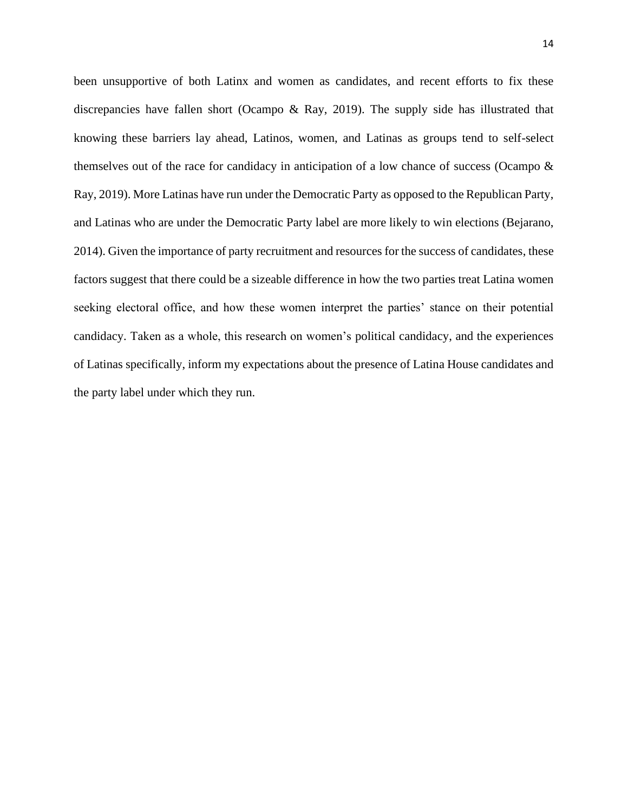been unsupportive of both Latinx and women as candidates, and recent efforts to fix these discrepancies have fallen short (Ocampo & Ray, 2019). The supply side has illustrated that knowing these barriers lay ahead, Latinos, women, and Latinas as groups tend to self-select themselves out of the race for candidacy in anticipation of a low chance of success (Ocampo & Ray, 2019). More Latinas have run under the Democratic Party as opposed to the Republican Party, and Latinas who are under the Democratic Party label are more likely to win elections (Bejarano, 2014). Given the importance of party recruitment and resources for the success of candidates, these factors suggest that there could be a sizeable difference in how the two parties treat Latina women seeking electoral office, and how these women interpret the parties' stance on their potential candidacy. Taken as a whole, this research on women's political candidacy, and the experiences of Latinas specifically, inform my expectations about the presence of Latina House candidates and the party label under which they run.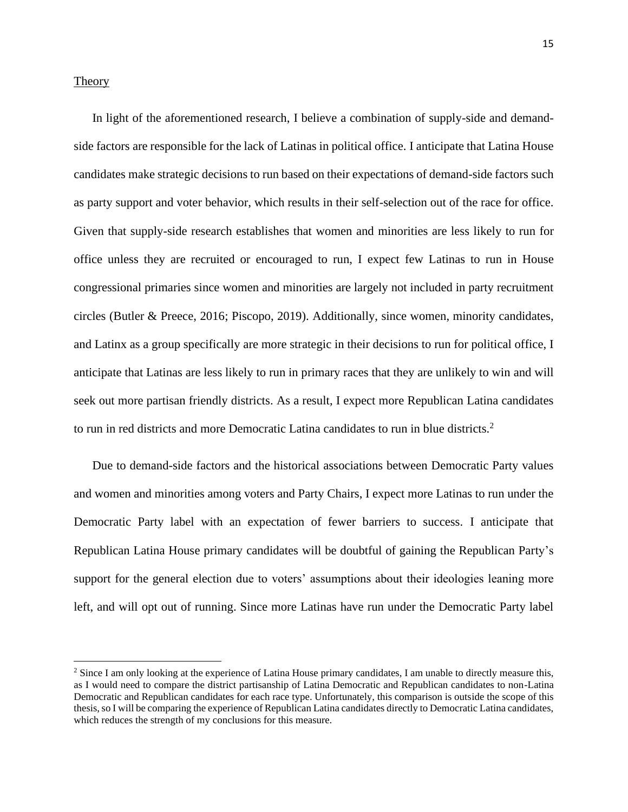## **Theory**

In light of the aforementioned research, I believe a combination of supply-side and demandside factors are responsible for the lack of Latinas in political office. I anticipate that Latina House candidates make strategic decisions to run based on their expectations of demand-side factors such as party support and voter behavior, which results in their self-selection out of the race for office. Given that supply-side research establishes that women and minorities are less likely to run for office unless they are recruited or encouraged to run, I expect few Latinas to run in House congressional primaries since women and minorities are largely not included in party recruitment circles (Butler & Preece, 2016; Piscopo, 2019). Additionally, since women, minority candidates, and Latinx as a group specifically are more strategic in their decisions to run for political office, I anticipate that Latinas are less likely to run in primary races that they are unlikely to win and will seek out more partisan friendly districts. As a result, I expect more Republican Latina candidates to run in red districts and more Democratic Latina candidates to run in blue districts.<sup>2</sup>

Due to demand-side factors and the historical associations between Democratic Party values and women and minorities among voters and Party Chairs, I expect more Latinas to run under the Democratic Party label with an expectation of fewer barriers to success. I anticipate that Republican Latina House primary candidates will be doubtful of gaining the Republican Party's support for the general election due to voters' assumptions about their ideologies leaning more left, and will opt out of running. Since more Latinas have run under the Democratic Party label

<sup>&</sup>lt;sup>2</sup> Since I am only looking at the experience of Latina House primary candidates, I am unable to directly measure this, as I would need to compare the district partisanship of Latina Democratic and Republican candidates to non-Latina Democratic and Republican candidates for each race type. Unfortunately, this comparison is outside the scope of this thesis, so I will be comparing the experience of Republican Latina candidates directly to Democratic Latina candidates, which reduces the strength of my conclusions for this measure.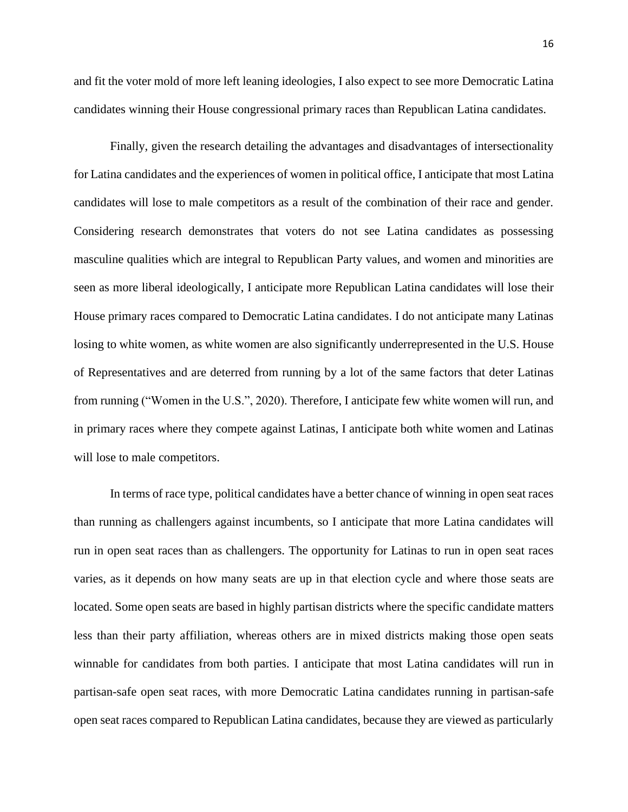and fit the voter mold of more left leaning ideologies, I also expect to see more Democratic Latina candidates winning their House congressional primary races than Republican Latina candidates.

Finally, given the research detailing the advantages and disadvantages of intersectionality for Latina candidates and the experiences of women in political office, I anticipate that most Latina candidates will lose to male competitors as a result of the combination of their race and gender. Considering research demonstrates that voters do not see Latina candidates as possessing masculine qualities which are integral to Republican Party values, and women and minorities are seen as more liberal ideologically, I anticipate more Republican Latina candidates will lose their House primary races compared to Democratic Latina candidates. I do not anticipate many Latinas losing to white women, as white women are also significantly underrepresented in the U.S. House of Representatives and are deterred from running by a lot of the same factors that deter Latinas from running ("Women in the U.S.", 2020). Therefore, I anticipate few white women will run, and in primary races where they compete against Latinas, I anticipate both white women and Latinas will lose to male competitors.

In terms of race type, political candidates have a better chance of winning in open seat races than running as challengers against incumbents, so I anticipate that more Latina candidates will run in open seat races than as challengers. The opportunity for Latinas to run in open seat races varies, as it depends on how many seats are up in that election cycle and where those seats are located. Some open seats are based in highly partisan districts where the specific candidate matters less than their party affiliation, whereas others are in mixed districts making those open seats winnable for candidates from both parties. I anticipate that most Latina candidates will run in partisan-safe open seat races, with more Democratic Latina candidates running in partisan-safe open seat races compared to Republican Latina candidates, because they are viewed as particularly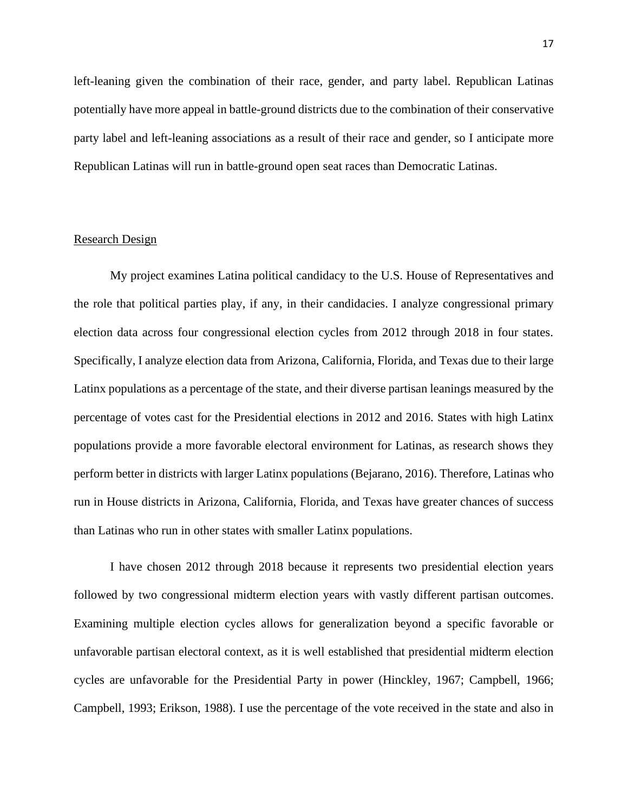left-leaning given the combination of their race, gender, and party label. Republican Latinas potentially have more appeal in battle-ground districts due to the combination of their conservative party label and left-leaning associations as a result of their race and gender, so I anticipate more Republican Latinas will run in battle-ground open seat races than Democratic Latinas.

## Research Design

My project examines Latina political candidacy to the U.S. House of Representatives and the role that political parties play, if any, in their candidacies. I analyze congressional primary election data across four congressional election cycles from 2012 through 2018 in four states. Specifically, I analyze election data from Arizona, California, Florida, and Texas due to their large Latinx populations as a percentage of the state, and their diverse partisan leanings measured by the percentage of votes cast for the Presidential elections in 2012 and 2016. States with high Latinx populations provide a more favorable electoral environment for Latinas, as research shows they perform better in districts with larger Latinx populations (Bejarano, 2016). Therefore, Latinas who run in House districts in Arizona, California, Florida, and Texas have greater chances of success than Latinas who run in other states with smaller Latinx populations.

I have chosen 2012 through 2018 because it represents two presidential election years followed by two congressional midterm election years with vastly different partisan outcomes. Examining multiple election cycles allows for generalization beyond a specific favorable or unfavorable partisan electoral context, as it is well established that presidential midterm election cycles are unfavorable for the Presidential Party in power (Hinckley, 1967; Campbell, 1966; Campbell, 1993; Erikson, 1988). I use the percentage of the vote received in the state and also in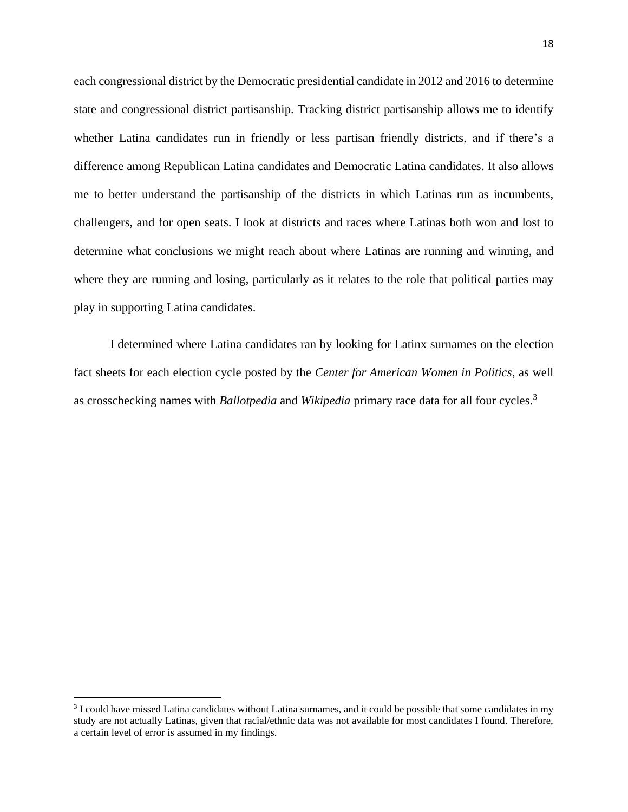each congressional district by the Democratic presidential candidate in 2012 and 2016 to determine state and congressional district partisanship. Tracking district partisanship allows me to identify whether Latina candidates run in friendly or less partisan friendly districts, and if there's a difference among Republican Latina candidates and Democratic Latina candidates. It also allows me to better understand the partisanship of the districts in which Latinas run as incumbents, challengers, and for open seats. I look at districts and races where Latinas both won and lost to determine what conclusions we might reach about where Latinas are running and winning, and where they are running and losing, particularly as it relates to the role that political parties may play in supporting Latina candidates.

I determined where Latina candidates ran by looking for Latinx surnames on the election fact sheets for each election cycle posted by the *Center for American Women in Politics*, as well as crosschecking names with *Ballotpedia* and *Wikipedia* primary race data for all four cycles.<sup>3</sup>

<sup>&</sup>lt;sup>3</sup> I could have missed Latina candidates without Latina surnames, and it could be possible that some candidates in my study are not actually Latinas, given that racial/ethnic data was not available for most candidates I found. Therefore, a certain level of error is assumed in my findings.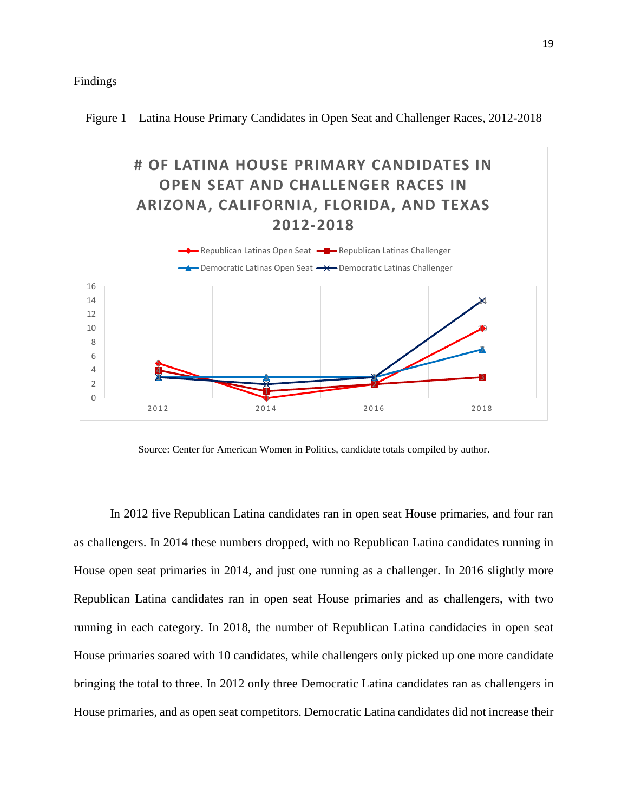Figure 1 – Latina House Primary Candidates in Open Seat and Challenger Races, 2012-2018



Source: Center for American Women in Politics, candidate totals compiled by author.

In 2012 five Republican Latina candidates ran in open seat House primaries, and four ran as challengers. In 2014 these numbers dropped, with no Republican Latina candidates running in House open seat primaries in 2014, and just one running as a challenger. In 2016 slightly more Republican Latina candidates ran in open seat House primaries and as challengers, with two running in each category. In 2018, the number of Republican Latina candidacies in open seat House primaries soared with 10 candidates, while challengers only picked up one more candidate bringing the total to three. In 2012 only three Democratic Latina candidates ran as challengers in House primaries, and as open seat competitors. Democratic Latina candidates did not increase their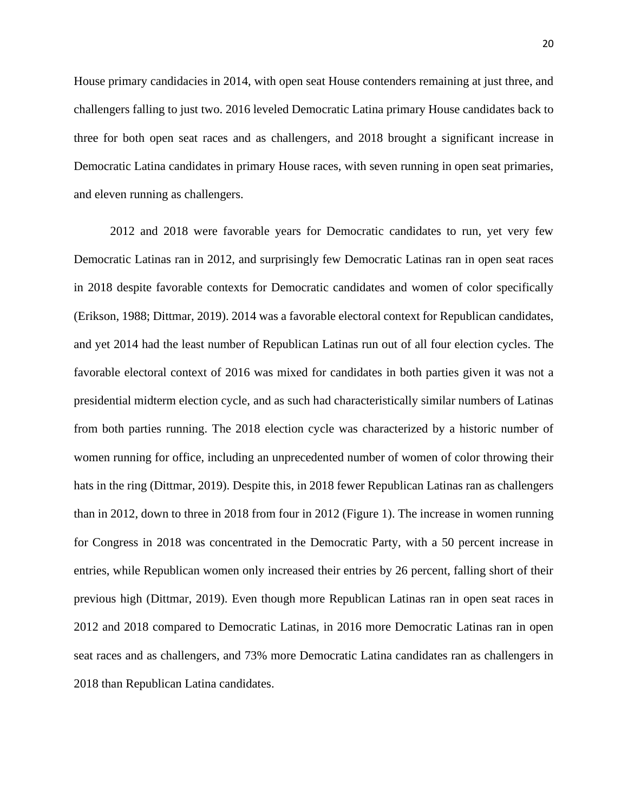House primary candidacies in 2014, with open seat House contenders remaining at just three, and challengers falling to just two. 2016 leveled Democratic Latina primary House candidates back to three for both open seat races and as challengers, and 2018 brought a significant increase in Democratic Latina candidates in primary House races, with seven running in open seat primaries, and eleven running as challengers.

2012 and 2018 were favorable years for Democratic candidates to run, yet very few Democratic Latinas ran in 2012, and surprisingly few Democratic Latinas ran in open seat races in 2018 despite favorable contexts for Democratic candidates and women of color specifically (Erikson, 1988; Dittmar, 2019). 2014 was a favorable electoral context for Republican candidates, and yet 2014 had the least number of Republican Latinas run out of all four election cycles. The favorable electoral context of 2016 was mixed for candidates in both parties given it was not a presidential midterm election cycle, and as such had characteristically similar numbers of Latinas from both parties running. The 2018 election cycle was characterized by a historic number of women running for office, including an unprecedented number of women of color throwing their hats in the ring (Dittmar, 2019). Despite this, in 2018 fewer Republican Latinas ran as challengers than in 2012, down to three in 2018 from four in 2012 (Figure 1). The increase in women running for Congress in 2018 was concentrated in the Democratic Party, with a 50 percent increase in entries, while Republican women only increased their entries by 26 percent, falling short of their previous high (Dittmar, 2019). Even though more Republican Latinas ran in open seat races in 2012 and 2018 compared to Democratic Latinas, in 2016 more Democratic Latinas ran in open seat races and as challengers, and 73% more Democratic Latina candidates ran as challengers in 2018 than Republican Latina candidates.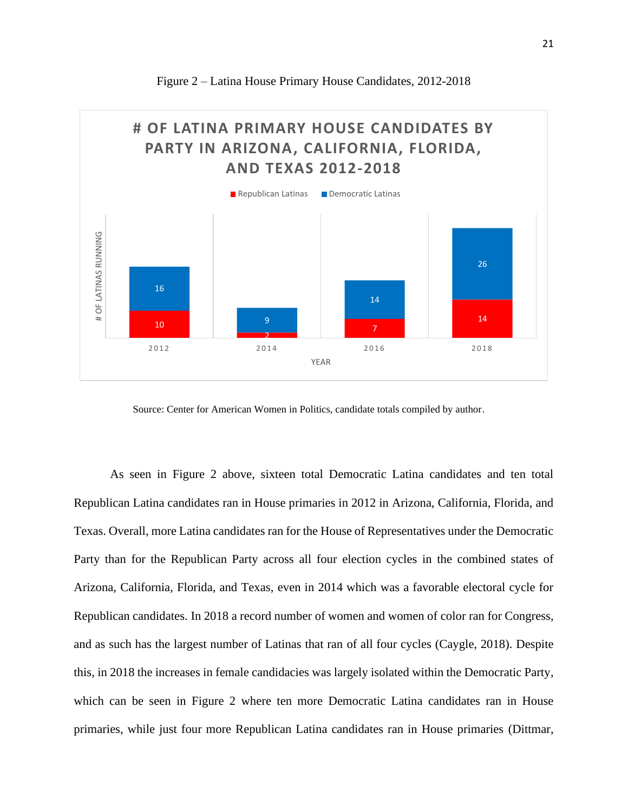

Figure 2 – Latina House Primary House Candidates, 2012-2018

Source: Center for American Women in Politics, candidate totals compiled by author.

As seen in Figure 2 above, sixteen total Democratic Latina candidates and ten total Republican Latina candidates ran in House primaries in 2012 in Arizona, California, Florida, and Texas. Overall, more Latina candidates ran for the House of Representatives under the Democratic Party than for the Republican Party across all four election cycles in the combined states of Arizona, California, Florida, and Texas, even in 2014 which was a favorable electoral cycle for Republican candidates. In 2018 a record number of women and women of color ran for Congress, and as such has the largest number of Latinas that ran of all four cycles (Caygle, 2018). Despite this, in 2018 the increases in female candidacies was largely isolated within the Democratic Party, which can be seen in Figure 2 where ten more Democratic Latina candidates ran in House primaries, while just four more Republican Latina candidates ran in House primaries (Dittmar,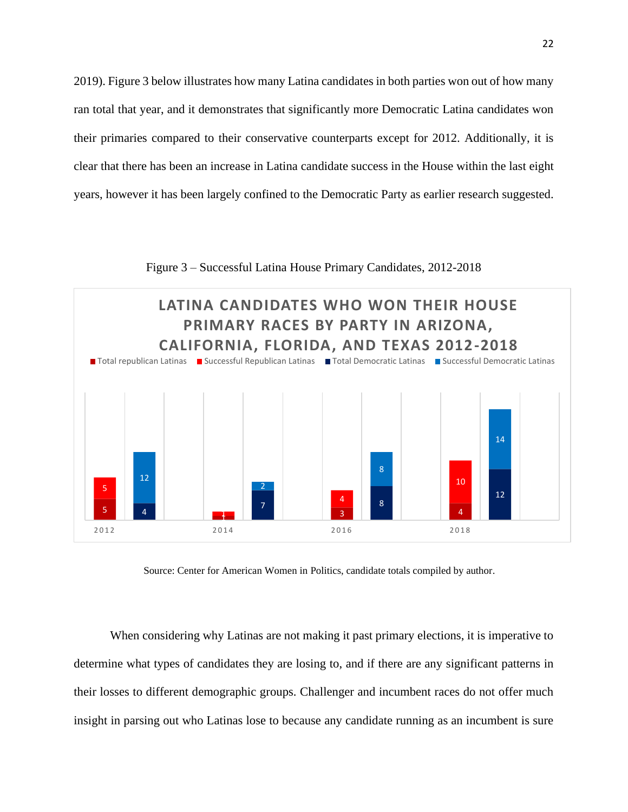2019). Figure 3 below illustrates how many Latina candidates in both parties won out of how many ran total that year, and it demonstrates that significantly more Democratic Latina candidates won their primaries compared to their conservative counterparts except for 2012. Additionally, it is clear that there has been an increase in Latina candidate success in the House within the last eight years, however it has been largely confined to the Democratic Party as earlier research suggested.



Figure 3 – Successful Latina House Primary Candidates, 2012-2018

Source: Center for American Women in Politics, candidate totals compiled by author.

When considering why Latinas are not making it past primary elections, it is imperative to determine what types of candidates they are losing to, and if there are any significant patterns in their losses to different demographic groups. Challenger and incumbent races do not offer much insight in parsing out who Latinas lose to because any candidate running as an incumbent is sure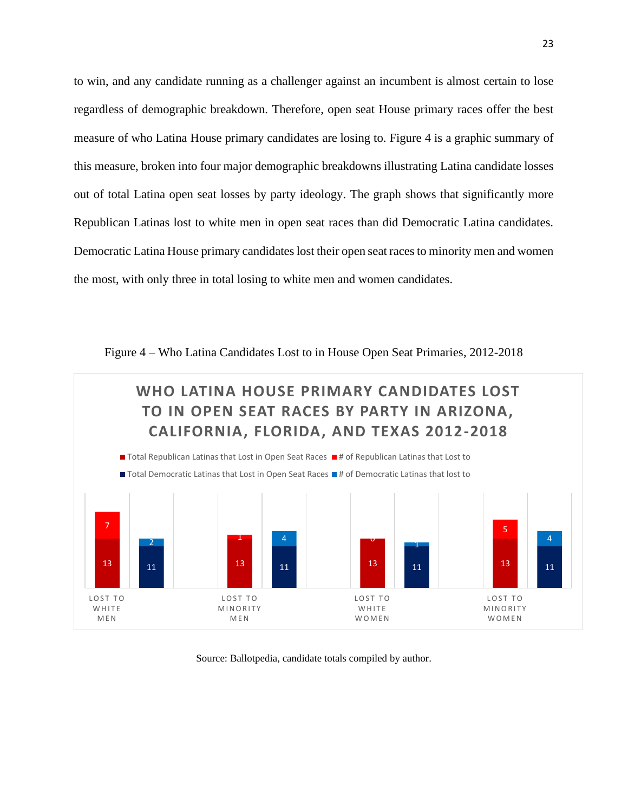to win, and any candidate running as a challenger against an incumbent is almost certain to lose regardless of demographic breakdown. Therefore, open seat House primary races offer the best measure of who Latina House primary candidates are losing to. Figure 4 is a graphic summary of this measure, broken into four major demographic breakdowns illustrating Latina candidate losses out of total Latina open seat losses by party ideology. The graph shows that significantly more Republican Latinas lost to white men in open seat races than did Democratic Latina candidates. Democratic Latina House primary candidates lost their open seat races to minority men and women the most, with only three in total losing to white men and women candidates.





### Source: Ballotpedia, candidate totals compiled by author.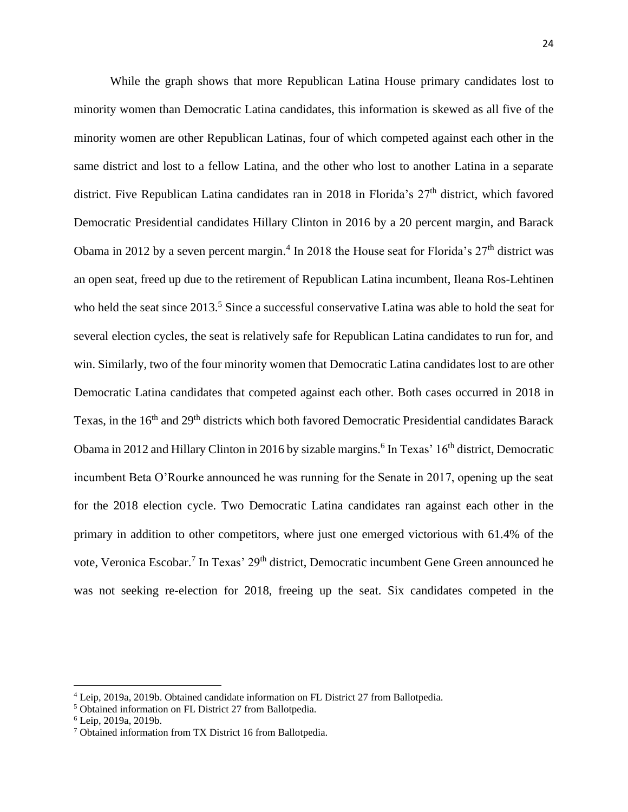While the graph shows that more Republican Latina House primary candidates lost to minority women than Democratic Latina candidates, this information is skewed as all five of the minority women are other Republican Latinas, four of which competed against each other in the same district and lost to a fellow Latina, and the other who lost to another Latina in a separate district. Five Republican Latina candidates ran in 2018 in Florida's 27<sup>th</sup> district, which favored Democratic Presidential candidates Hillary Clinton in 2016 by a 20 percent margin, and Barack Obama in 2012 by a seven percent margin.<sup>4</sup> In 2018 the House seat for Florida's  $27<sup>th</sup>$  district was an open seat, freed up due to the retirement of Republican Latina incumbent, Ileana Ros-Lehtinen who held the seat since 2013.<sup>5</sup> Since a successful conservative Latina was able to hold the seat for several election cycles, the seat is relatively safe for Republican Latina candidates to run for, and win. Similarly, two of the four minority women that Democratic Latina candidates lost to are other Democratic Latina candidates that competed against each other. Both cases occurred in 2018 in Texas, in the 16<sup>th</sup> and 29<sup>th</sup> districts which both favored Democratic Presidential candidates Barack Obama in 2012 and Hillary Clinton in 2016 by sizable margins.<sup>6</sup> In Texas' 16<sup>th</sup> district, Democratic incumbent Beta O'Rourke announced he was running for the Senate in 2017, opening up the seat for the 2018 election cycle. Two Democratic Latina candidates ran against each other in the primary in addition to other competitors, where just one emerged victorious with 61.4% of the vote, Veronica Escobar.<sup>7</sup> In Texas' 29<sup>th</sup> district, Democratic incumbent Gene Green announced he was not seeking re-election for 2018, freeing up the seat. Six candidates competed in the

<sup>4</sup> Leip, 2019a, 2019b. Obtained candidate information on FL District 27 from Ballotpedia.

<sup>5</sup> Obtained information on FL District 27 from Ballotpedia.

<sup>6</sup> Leip, 2019a, 2019b.

<sup>7</sup> Obtained information from TX District 16 from Ballotpedia.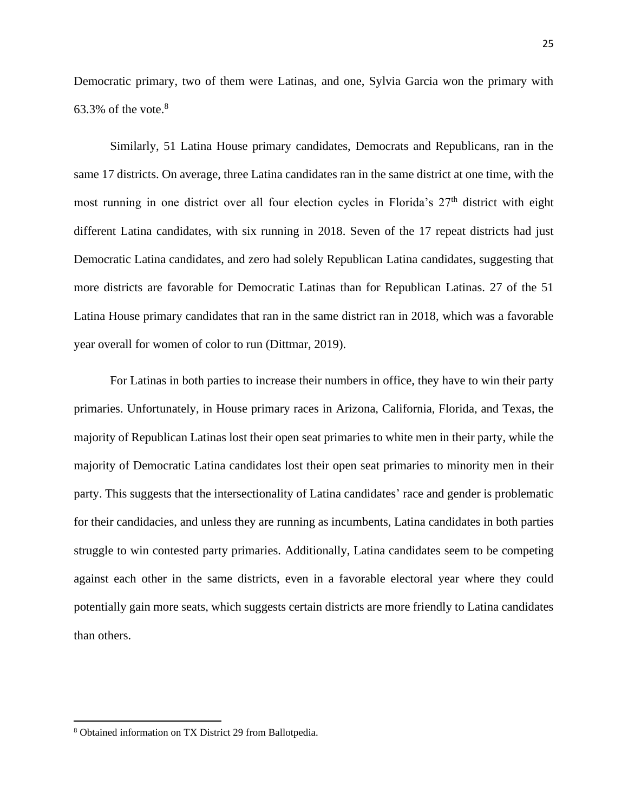Democratic primary, two of them were Latinas, and one, Sylvia Garcia won the primary with 63.3% of the vote. $8$ 

Similarly, 51 Latina House primary candidates, Democrats and Republicans, ran in the same 17 districts. On average, three Latina candidates ran in the same district at one time, with the most running in one district over all four election cycles in Florida's  $27<sup>th</sup>$  district with eight different Latina candidates, with six running in 2018. Seven of the 17 repeat districts had just Democratic Latina candidates, and zero had solely Republican Latina candidates, suggesting that more districts are favorable for Democratic Latinas than for Republican Latinas. 27 of the 51 Latina House primary candidates that ran in the same district ran in 2018, which was a favorable year overall for women of color to run (Dittmar, 2019).

For Latinas in both parties to increase their numbers in office, they have to win their party primaries. Unfortunately, in House primary races in Arizona, California, Florida, and Texas, the majority of Republican Latinas lost their open seat primaries to white men in their party, while the majority of Democratic Latina candidates lost their open seat primaries to minority men in their party. This suggests that the intersectionality of Latina candidates' race and gender is problematic for their candidacies, and unless they are running as incumbents, Latina candidates in both parties struggle to win contested party primaries. Additionally, Latina candidates seem to be competing against each other in the same districts, even in a favorable electoral year where they could potentially gain more seats, which suggests certain districts are more friendly to Latina candidates than others.

<sup>8</sup> Obtained information on TX District 29 from Ballotpedia.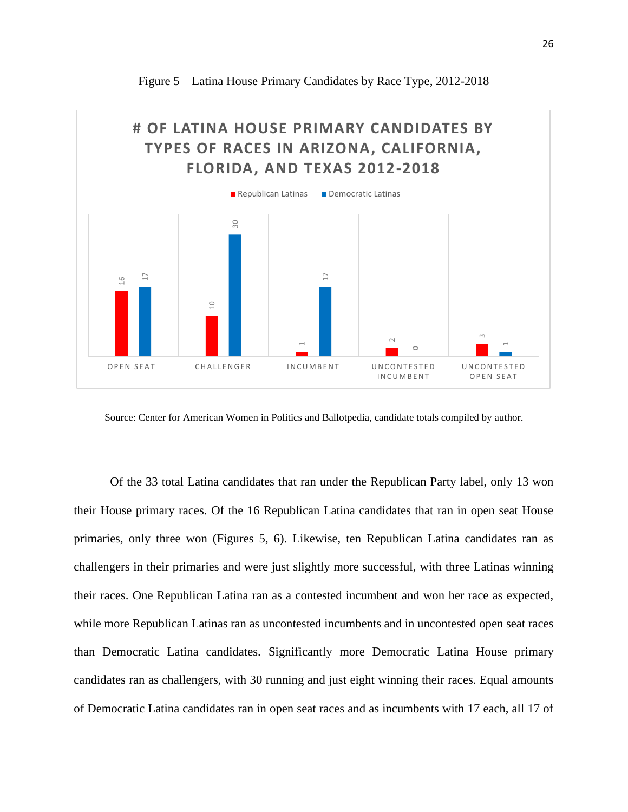

Figure 5 – Latina House Primary Candidates by Race Type, 2012-2018

Source: Center for American Women in Politics and Ballotpedia, candidate totals compiled by author.

Of the 33 total Latina candidates that ran under the Republican Party label, only 13 won their House primary races. Of the 16 Republican Latina candidates that ran in open seat House primaries, only three won (Figures 5, 6). Likewise, ten Republican Latina candidates ran as challengers in their primaries and were just slightly more successful, with three Latinas winning their races. One Republican Latina ran as a contested incumbent and won her race as expected, while more Republican Latinas ran as uncontested incumbents and in uncontested open seat races than Democratic Latina candidates. Significantly more Democratic Latina House primary candidates ran as challengers, with 30 running and just eight winning their races. Equal amounts OPEN SEAT CHALLENGER INCOMBENT UNCOMBENT OVECONSERTED USEONTESTED<br>
SOURCE: Center for American Women in Politics and Ballotpedia, candidate totals compiled by author.<br>
OF the 33 total Latina candidates that ran under the R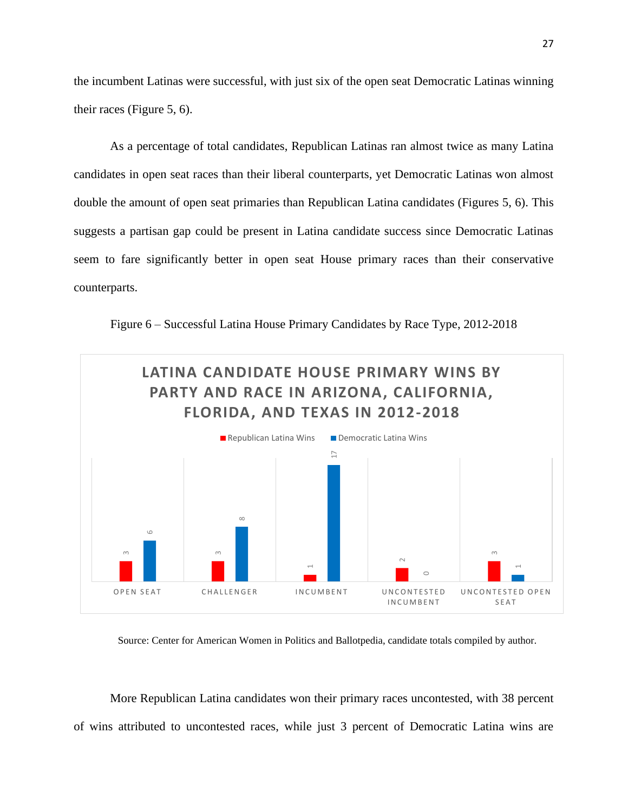the incumbent Latinas were successful, with just six of the open seat Democratic Latinas winning their races (Figure 5, 6).

As a percentage of total candidates, Republican Latinas ran almost twice as many Latina candidates in open seat races than their liberal counterparts, yet Democratic Latinas won almost double the amount of open seat primaries than Republican Latina candidates (Figures 5, 6). This suggests a partisan gap could be present in Latina candidate success since Democratic Latinas seem to fare significantly better in open seat House primary races than their conservative counterparts.

Figure 6 – Successful Latina House Primary Candidates by Race Type, 2012-2018



Source: Center for American Women in Politics and Ballotpedia, candidate totals compiled by author.

More Republican Latina candidates won their primary races uncontested, with 38 percent of wins attributed to uncontested races, while just 3 percent of Democratic Latina wins are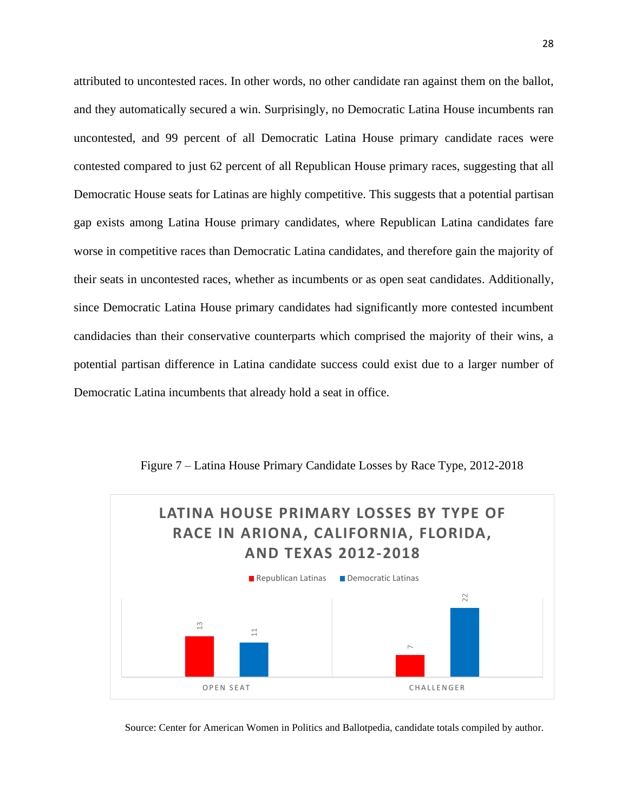attributed to uncontested races. In other words, no other candidate ran against them on the ballot, and they automatically secured a win. Surprisingly, no Democratic Latina House incumbents ran uncontested, and 99 percent of all Democratic Latina House primary candidate races were contested compared to just 62 percent of all Republican House primary races, suggesting that all Democratic House seats for Latinas are highly competitive. This suggests that a potential partisan gap exists among Latina House primary candidates, where Republican Latina candidates fare worse in competitive races than Democratic Latina candidates, and therefore gain the majority of their seats in uncontested races, whether as incumbents or as open seat candidates. Additionally, since Democratic Latina House primary candidates had significantly more contested incumbent candidacies than their conservative counterparts which comprised the majority of their wins, a potential partisan difference in Latina candidate success could exist due to a larger number of Democratic Latina incumbents that already hold a seat in office.



Figure 7 – Latina House Primary Candidate Losses by Race Type, 2012-2018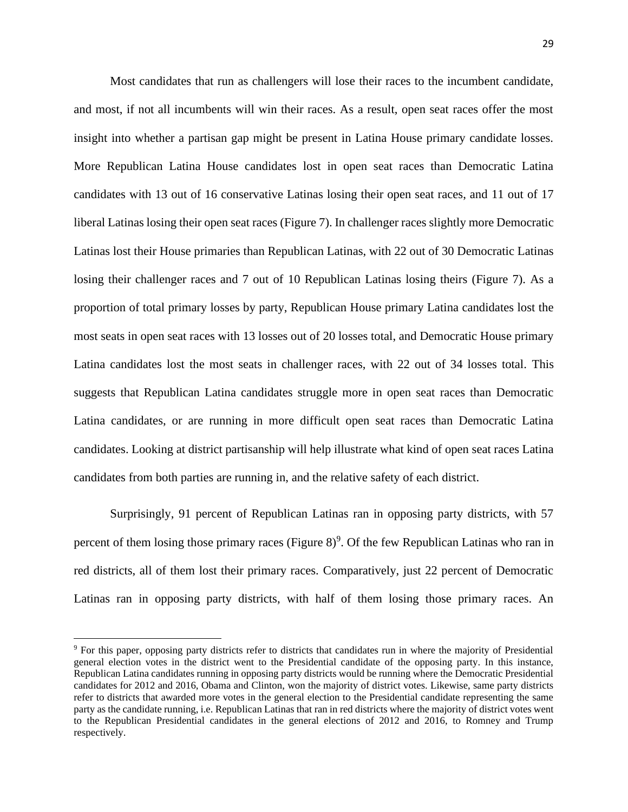Most candidates that run as challengers will lose their races to the incumbent candidate, and most, if not all incumbents will win their races. As a result, open seat races offer the most insight into whether a partisan gap might be present in Latina House primary candidate losses. More Republican Latina House candidates lost in open seat races than Democratic Latina candidates with 13 out of 16 conservative Latinas losing their open seat races, and 11 out of 17 liberal Latinas losing their open seat races (Figure 7). In challenger races slightly more Democratic Latinas lost their House primaries than Republican Latinas, with 22 out of 30 Democratic Latinas losing their challenger races and 7 out of 10 Republican Latinas losing theirs (Figure 7). As a proportion of total primary losses by party, Republican House primary Latina candidates lost the most seats in open seat races with 13 losses out of 20 losses total, and Democratic House primary Latina candidates lost the most seats in challenger races, with 22 out of 34 losses total. This suggests that Republican Latina candidates struggle more in open seat races than Democratic Latina candidates, or are running in more difficult open seat races than Democratic Latina candidates. Looking at district partisanship will help illustrate what kind of open seat races Latina candidates from both parties are running in, and the relative safety of each district.

Surprisingly, 91 percent of Republican Latinas ran in opposing party districts, with 57 percent of them losing those primary races (Figure  $8$ )<sup>9</sup>. Of the few Republican Latinas who ran in red districts, all of them lost their primary races. Comparatively, just 22 percent of Democratic Latinas ran in opposing party districts, with half of them losing those primary races. An

<sup>9</sup> For this paper, opposing party districts refer to districts that candidates run in where the majority of Presidential general election votes in the district went to the Presidential candidate of the opposing party. In this instance, Republican Latina candidates running in opposing party districts would be running where the Democratic Presidential candidates for 2012 and 2016, Obama and Clinton, won the majority of district votes. Likewise, same party districts refer to districts that awarded more votes in the general election to the Presidential candidate representing the same party as the candidate running, i.e. Republican Latinas that ran in red districts where the majority of district votes went to the Republican Presidential candidates in the general elections of 2012 and 2016, to Romney and Trump respectively.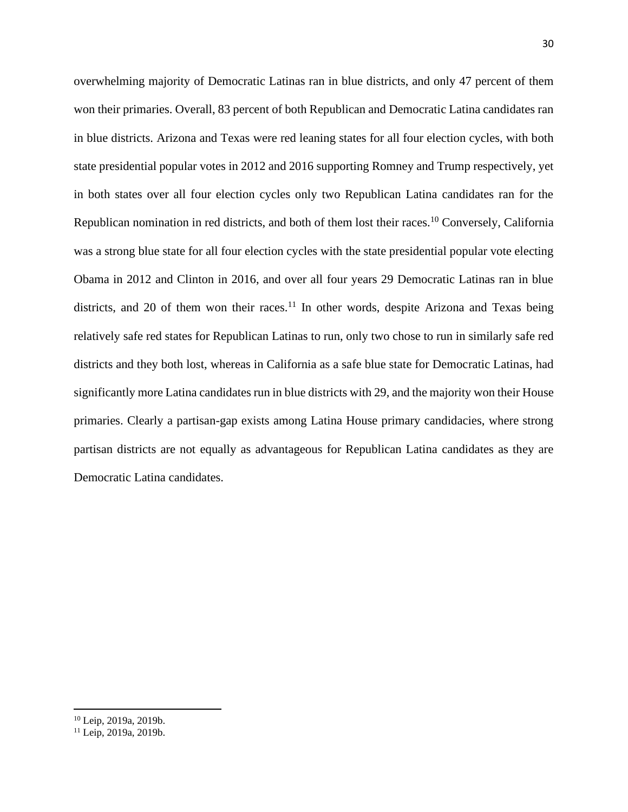overwhelming majority of Democratic Latinas ran in blue districts, and only 47 percent of them won their primaries. Overall, 83 percent of both Republican and Democratic Latina candidates ran in blue districts. Arizona and Texas were red leaning states for all four election cycles, with both state presidential popular votes in 2012 and 2016 supporting Romney and Trump respectively, yet in both states over all four election cycles only two Republican Latina candidates ran for the Republican nomination in red districts, and both of them lost their races.<sup>10</sup> Conversely, California was a strong blue state for all four election cycles with the state presidential popular vote electing Obama in 2012 and Clinton in 2016, and over all four years 29 Democratic Latinas ran in blue districts, and 20 of them won their races.<sup>11</sup> In other words, despite Arizona and Texas being relatively safe red states for Republican Latinas to run, only two chose to run in similarly safe red districts and they both lost, whereas in California as a safe blue state for Democratic Latinas, had significantly more Latina candidates run in blue districts with 29, and the majority won their House primaries. Clearly a partisan-gap exists among Latina House primary candidacies, where strong partisan districts are not equally as advantageous for Republican Latina candidates as they are Democratic Latina candidates.

<sup>10</sup> Leip, 2019a, 2019b.

 $11$  Leip, 2019a, 2019b.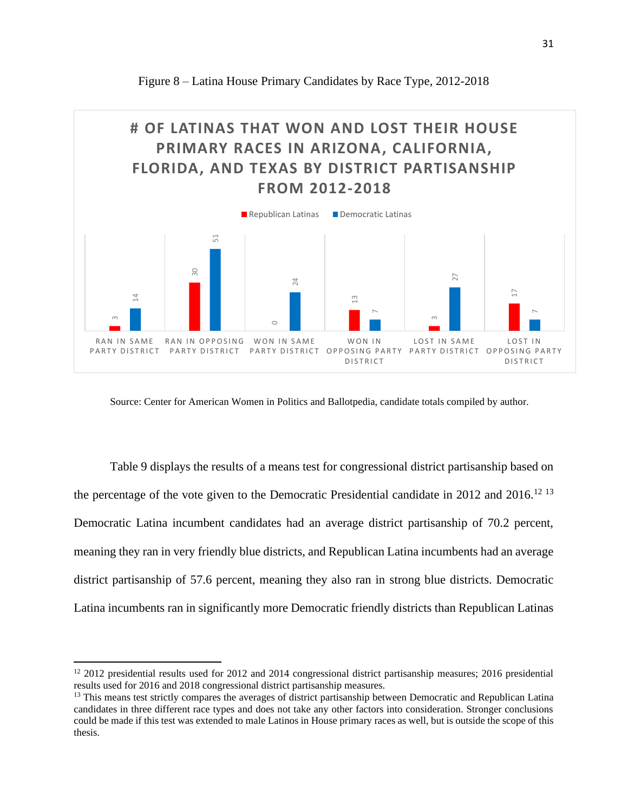

Figure 8 – Latina House Primary Candidates by Race Type, 2012-2018

Source: Center for American Women in Politics and Ballotpedia, candidate totals compiled by author.

Table 9 displays the results of a means test for congressional district partisanship based on the percentage of the vote given to the Democratic Presidential candidate in 2012 and 2016.<sup>12 13</sup> Democratic Latina incumbent candidates had an average district partisanship of 70.2 percent, meaning they ran in very friendly blue districts, and Republican Latina incumbents had an average district partisanship of 57.6 percent, meaning they also ran in strong blue districts. Democratic Latina incumbents ran in significantly more Democratic friendly districts than Republican Latinas

<sup>&</sup>lt;sup>12</sup> 2012 presidential results used for 2012 and 2014 congressional district partisanship measures; 2016 presidential results used for 2016 and 2018 congressional district partisanship measures.

<sup>&</sup>lt;sup>13</sup> This means test strictly compares the averages of district partisanship between Democratic and Republican Latina candidates in three different race types and does not take any other factors into consideration. Stronger conclusions could be made if this test was extended to male Latinos in House primary races as well, but is outside the scope of this thesis.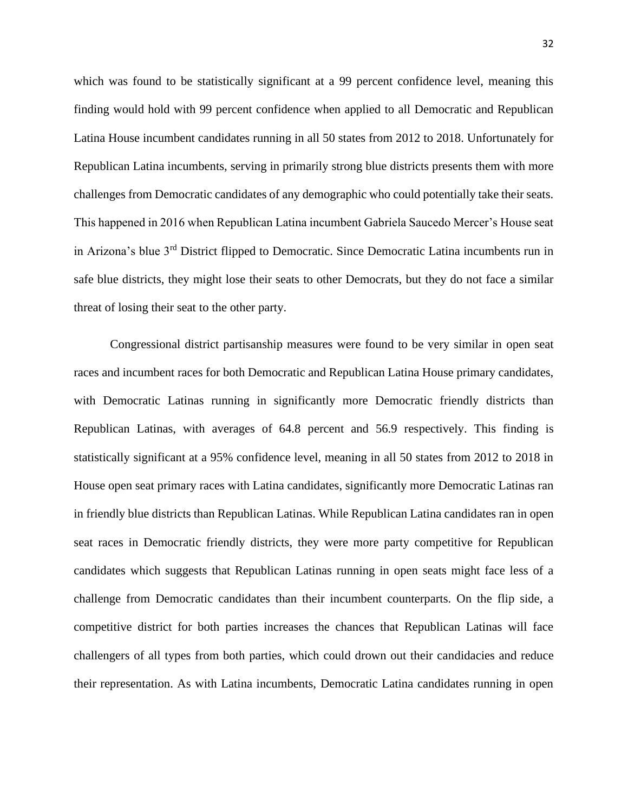which was found to be statistically significant at a 99 percent confidence level, meaning this finding would hold with 99 percent confidence when applied to all Democratic and Republican Latina House incumbent candidates running in all 50 states from 2012 to 2018. Unfortunately for Republican Latina incumbents, serving in primarily strong blue districts presents them with more challenges from Democratic candidates of any demographic who could potentially take their seats. This happened in 2016 when Republican Latina incumbent Gabriela Saucedo Mercer's House seat in Arizona's blue 3rd District flipped to Democratic. Since Democratic Latina incumbents run in safe blue districts, they might lose their seats to other Democrats, but they do not face a similar threat of losing their seat to the other party.

Congressional district partisanship measures were found to be very similar in open seat races and incumbent races for both Democratic and Republican Latina House primary candidates, with Democratic Latinas running in significantly more Democratic friendly districts than Republican Latinas, with averages of 64.8 percent and 56.9 respectively. This finding is statistically significant at a 95% confidence level, meaning in all 50 states from 2012 to 2018 in House open seat primary races with Latina candidates, significantly more Democratic Latinas ran in friendly blue districts than Republican Latinas. While Republican Latina candidates ran in open seat races in Democratic friendly districts, they were more party competitive for Republican candidates which suggests that Republican Latinas running in open seats might face less of a challenge from Democratic candidates than their incumbent counterparts. On the flip side, a competitive district for both parties increases the chances that Republican Latinas will face challengers of all types from both parties, which could drown out their candidacies and reduce their representation. As with Latina incumbents, Democratic Latina candidates running in open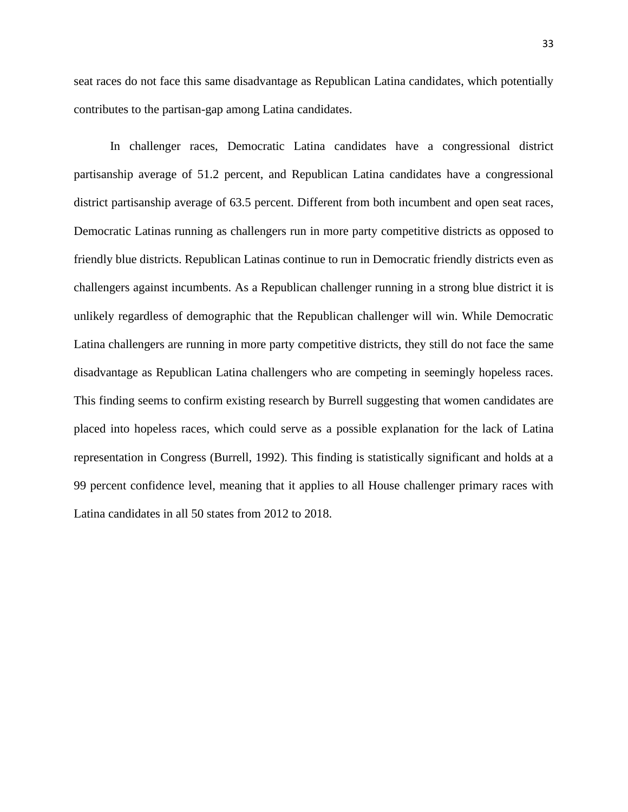seat races do not face this same disadvantage as Republican Latina candidates, which potentially contributes to the partisan-gap among Latina candidates.

In challenger races, Democratic Latina candidates have a congressional district partisanship average of 51.2 percent, and Republican Latina candidates have a congressional district partisanship average of 63.5 percent. Different from both incumbent and open seat races, Democratic Latinas running as challengers run in more party competitive districts as opposed to friendly blue districts. Republican Latinas continue to run in Democratic friendly districts even as challengers against incumbents. As a Republican challenger running in a strong blue district it is unlikely regardless of demographic that the Republican challenger will win. While Democratic Latina challengers are running in more party competitive districts, they still do not face the same disadvantage as Republican Latina challengers who are competing in seemingly hopeless races. This finding seems to confirm existing research by Burrell suggesting that women candidates are placed into hopeless races, which could serve as a possible explanation for the lack of Latina representation in Congress (Burrell, 1992). This finding is statistically significant and holds at a 99 percent confidence level, meaning that it applies to all House challenger primary races with Latina candidates in all 50 states from 2012 to 2018.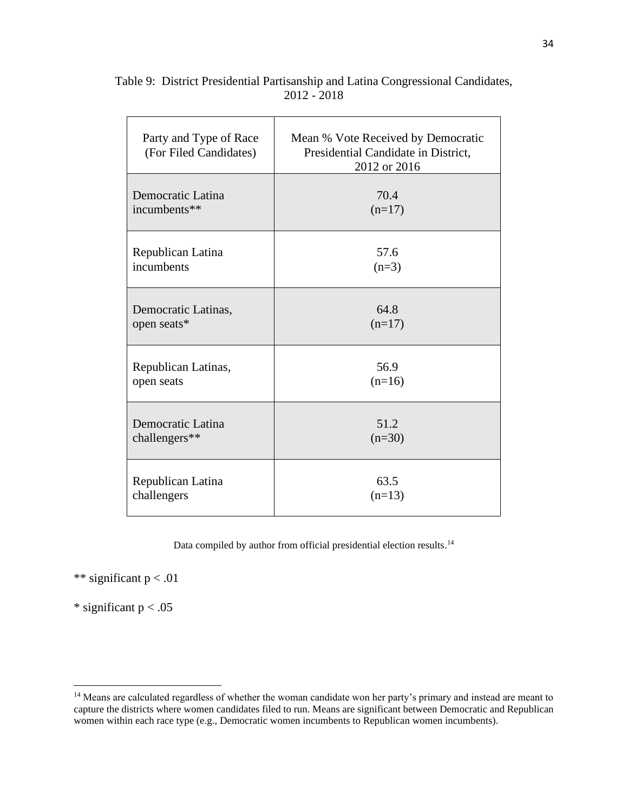| Party and Type of Race<br>(For Filed Candidates) | Mean % Vote Received by Democratic<br>Presidential Candidate in District,<br>2012 or 2016 |
|--------------------------------------------------|-------------------------------------------------------------------------------------------|
| Democratic Latina                                | 70.4                                                                                      |
| incumbents**                                     | $(n=17)$                                                                                  |
| Republican Latina                                | 57.6                                                                                      |
| incumbents                                       | $(n=3)$                                                                                   |
| Democratic Latinas,                              | 64.8                                                                                      |
| open seats*                                      | $(n=17)$                                                                                  |
| Republican Latinas,                              | 56.9                                                                                      |
| open seats                                       | $(n=16)$                                                                                  |
| Democratic Latina                                | 51.2                                                                                      |
| challengers**                                    | $(n=30)$                                                                                  |
| Republican Latina                                | 63.5                                                                                      |
| challengers                                      | $(n=13)$                                                                                  |

Table 9: District Presidential Partisanship and Latina Congressional Candidates, 2012 - 2018

Data compiled by author from official presidential election results.<sup>14</sup>

\*\* significant  $p < .01$ 

 $\Gamma$ 

\* significant  $p < .05$ 

 $\overline{\phantom{a}}$ 

<sup>&</sup>lt;sup>14</sup> Means are calculated regardless of whether the woman candidate won her party's primary and instead are meant to capture the districts where women candidates filed to run. Means are significant between Democratic and Republican women within each race type (e.g., Democratic women incumbents to Republican women incumbents).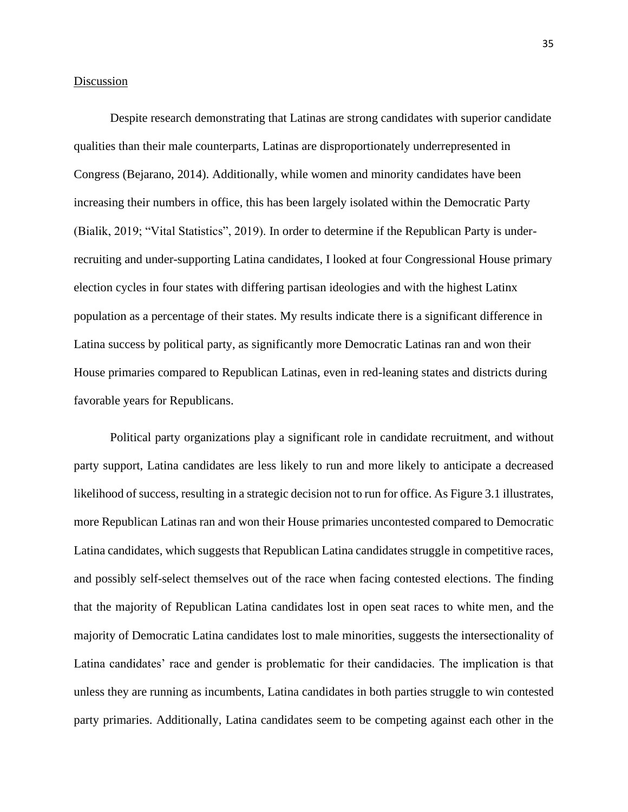# **Discussion**

Despite research demonstrating that Latinas are strong candidates with superior candidate qualities than their male counterparts, Latinas are disproportionately underrepresented in Congress (Bejarano, 2014). Additionally, while women and minority candidates have been increasing their numbers in office, this has been largely isolated within the Democratic Party (Bialik, 2019; "Vital Statistics", 2019). In order to determine if the Republican Party is underrecruiting and under-supporting Latina candidates, I looked at four Congressional House primary election cycles in four states with differing partisan ideologies and with the highest Latinx population as a percentage of their states. My results indicate there is a significant difference in Latina success by political party, as significantly more Democratic Latinas ran and won their House primaries compared to Republican Latinas, even in red-leaning states and districts during favorable years for Republicans.

Political party organizations play a significant role in candidate recruitment, and without party support, Latina candidates are less likely to run and more likely to anticipate a decreased likelihood of success, resulting in a strategic decision not to run for office. As Figure 3.1 illustrates, more Republican Latinas ran and won their House primaries uncontested compared to Democratic Latina candidates, which suggests that Republican Latina candidates struggle in competitive races, and possibly self-select themselves out of the race when facing contested elections. The finding that the majority of Republican Latina candidates lost in open seat races to white men, and the majority of Democratic Latina candidates lost to male minorities, suggests the intersectionality of Latina candidates' race and gender is problematic for their candidacies. The implication is that unless they are running as incumbents, Latina candidates in both parties struggle to win contested party primaries. Additionally, Latina candidates seem to be competing against each other in the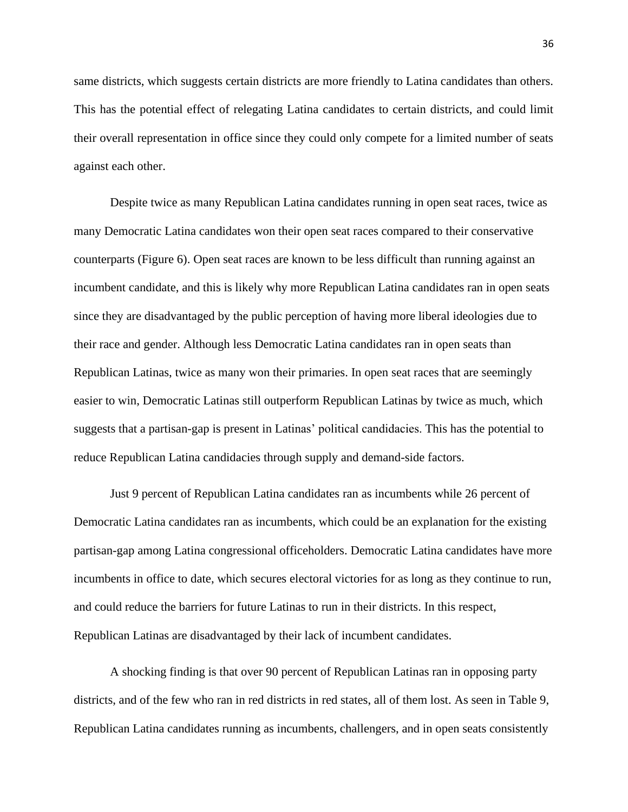same districts, which suggests certain districts are more friendly to Latina candidates than others. This has the potential effect of relegating Latina candidates to certain districts, and could limit their overall representation in office since they could only compete for a limited number of seats against each other.

Despite twice as many Republican Latina candidates running in open seat races, twice as many Democratic Latina candidates won their open seat races compared to their conservative counterparts (Figure 6). Open seat races are known to be less difficult than running against an incumbent candidate, and this is likely why more Republican Latina candidates ran in open seats since they are disadvantaged by the public perception of having more liberal ideologies due to their race and gender. Although less Democratic Latina candidates ran in open seats than Republican Latinas, twice as many won their primaries. In open seat races that are seemingly easier to win, Democratic Latinas still outperform Republican Latinas by twice as much, which suggests that a partisan-gap is present in Latinas' political candidacies. This has the potential to reduce Republican Latina candidacies through supply and demand-side factors.

Just 9 percent of Republican Latina candidates ran as incumbents while 26 percent of Democratic Latina candidates ran as incumbents, which could be an explanation for the existing partisan-gap among Latina congressional officeholders. Democratic Latina candidates have more incumbents in office to date, which secures electoral victories for as long as they continue to run, and could reduce the barriers for future Latinas to run in their districts. In this respect, Republican Latinas are disadvantaged by their lack of incumbent candidates.

A shocking finding is that over 90 percent of Republican Latinas ran in opposing party districts, and of the few who ran in red districts in red states, all of them lost. As seen in Table 9, Republican Latina candidates running as incumbents, challengers, and in open seats consistently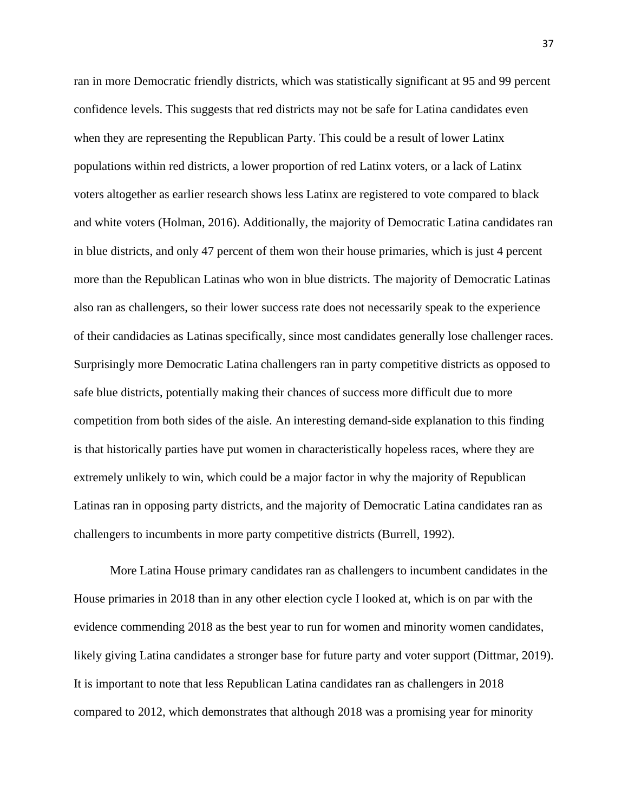ran in more Democratic friendly districts, which was statistically significant at 95 and 99 percent confidence levels. This suggests that red districts may not be safe for Latina candidates even when they are representing the Republican Party. This could be a result of lower Latinx populations within red districts, a lower proportion of red Latinx voters, or a lack of Latinx voters altogether as earlier research shows less Latinx are registered to vote compared to black and white voters (Holman, 2016). Additionally, the majority of Democratic Latina candidates ran in blue districts, and only 47 percent of them won their house primaries, which is just 4 percent more than the Republican Latinas who won in blue districts. The majority of Democratic Latinas also ran as challengers, so their lower success rate does not necessarily speak to the experience of their candidacies as Latinas specifically, since most candidates generally lose challenger races. Surprisingly more Democratic Latina challengers ran in party competitive districts as opposed to safe blue districts, potentially making their chances of success more difficult due to more competition from both sides of the aisle. An interesting demand-side explanation to this finding is that historically parties have put women in characteristically hopeless races, where they are extremely unlikely to win, which could be a major factor in why the majority of Republican Latinas ran in opposing party districts, and the majority of Democratic Latina candidates ran as challengers to incumbents in more party competitive districts (Burrell, 1992).

More Latina House primary candidates ran as challengers to incumbent candidates in the House primaries in 2018 than in any other election cycle I looked at, which is on par with the evidence commending 2018 as the best year to run for women and minority women candidates, likely giving Latina candidates a stronger base for future party and voter support (Dittmar, 2019). It is important to note that less Republican Latina candidates ran as challengers in 2018 compared to 2012, which demonstrates that although 2018 was a promising year for minority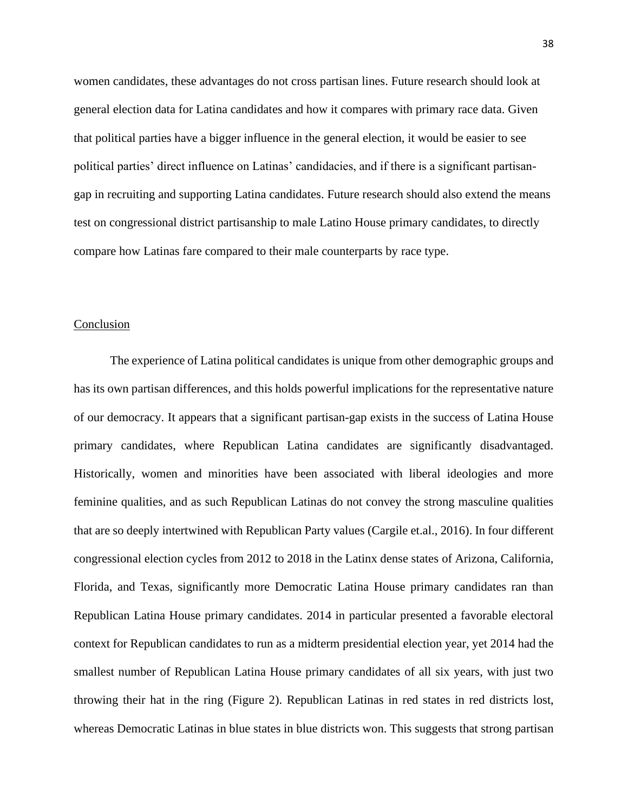women candidates, these advantages do not cross partisan lines. Future research should look at general election data for Latina candidates and how it compares with primary race data. Given that political parties have a bigger influence in the general election, it would be easier to see political parties' direct influence on Latinas' candidacies, and if there is a significant partisangap in recruiting and supporting Latina candidates. Future research should also extend the means test on congressional district partisanship to male Latino House primary candidates, to directly compare how Latinas fare compared to their male counterparts by race type.

### Conclusion

The experience of Latina political candidates is unique from other demographic groups and has its own partisan differences, and this holds powerful implications for the representative nature of our democracy. It appears that a significant partisan-gap exists in the success of Latina House primary candidates, where Republican Latina candidates are significantly disadvantaged. Historically, women and minorities have been associated with liberal ideologies and more feminine qualities, and as such Republican Latinas do not convey the strong masculine qualities that are so deeply intertwined with Republican Party values (Cargile et.al., 2016). In four different congressional election cycles from 2012 to 2018 in the Latinx dense states of Arizona, California, Florida, and Texas, significantly more Democratic Latina House primary candidates ran than Republican Latina House primary candidates. 2014 in particular presented a favorable electoral context for Republican candidates to run as a midterm presidential election year, yet 2014 had the smallest number of Republican Latina House primary candidates of all six years, with just two throwing their hat in the ring (Figure 2). Republican Latinas in red states in red districts lost, whereas Democratic Latinas in blue states in blue districts won. This suggests that strong partisan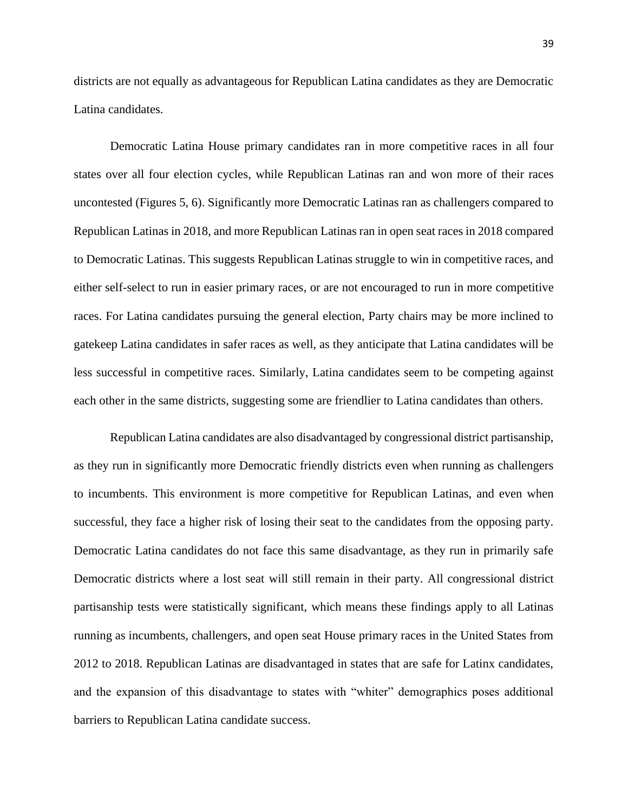districts are not equally as advantageous for Republican Latina candidates as they are Democratic Latina candidates.

Democratic Latina House primary candidates ran in more competitive races in all four states over all four election cycles, while Republican Latinas ran and won more of their races uncontested (Figures 5, 6). Significantly more Democratic Latinas ran as challengers compared to Republican Latinas in 2018, and more Republican Latinas ran in open seat races in 2018 compared to Democratic Latinas. This suggests Republican Latinas struggle to win in competitive races, and either self-select to run in easier primary races, or are not encouraged to run in more competitive races. For Latina candidates pursuing the general election, Party chairs may be more inclined to gatekeep Latina candidates in safer races as well, as they anticipate that Latina candidates will be less successful in competitive races. Similarly, Latina candidates seem to be competing against each other in the same districts, suggesting some are friendlier to Latina candidates than others.

Republican Latina candidates are also disadvantaged by congressional district partisanship, as they run in significantly more Democratic friendly districts even when running as challengers to incumbents. This environment is more competitive for Republican Latinas, and even when successful, they face a higher risk of losing their seat to the candidates from the opposing party. Democratic Latina candidates do not face this same disadvantage, as they run in primarily safe Democratic districts where a lost seat will still remain in their party. All congressional district partisanship tests were statistically significant, which means these findings apply to all Latinas running as incumbents, challengers, and open seat House primary races in the United States from 2012 to 2018. Republican Latinas are disadvantaged in states that are safe for Latinx candidates, and the expansion of this disadvantage to states with "whiter" demographics poses additional barriers to Republican Latina candidate success.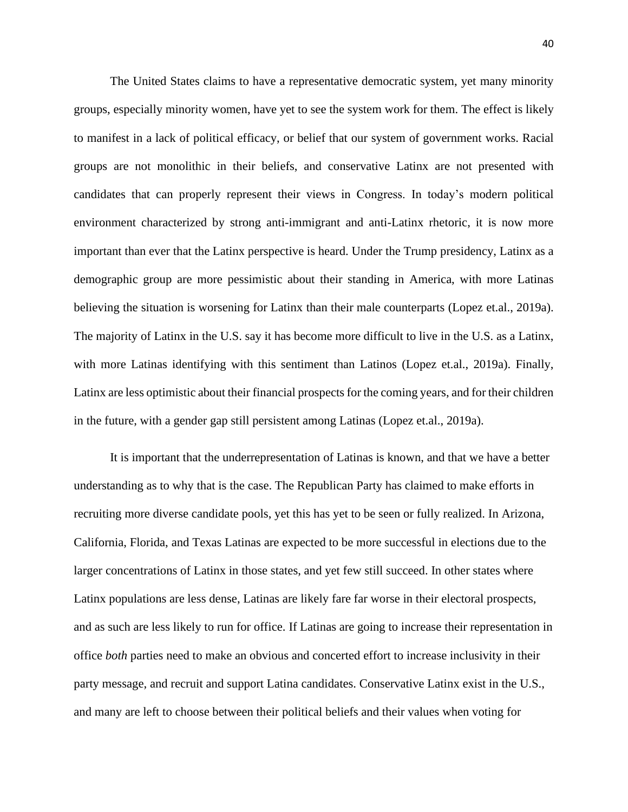The United States claims to have a representative democratic system, yet many minority groups, especially minority women, have yet to see the system work for them. The effect is likely to manifest in a lack of political efficacy, or belief that our system of government works. Racial groups are not monolithic in their beliefs, and conservative Latinx are not presented with candidates that can properly represent their views in Congress. In today's modern political environment characterized by strong anti-immigrant and anti-Latinx rhetoric, it is now more important than ever that the Latinx perspective is heard. Under the Trump presidency, Latinx as a demographic group are more pessimistic about their standing in America, with more Latinas believing the situation is worsening for Latinx than their male counterparts (Lopez et.al., 2019a). The majority of Latinx in the U.S. say it has become more difficult to live in the U.S. as a Latinx, with more Latinas identifying with this sentiment than Latinos (Lopez et.al., 2019a). Finally, Latinx are less optimistic about their financial prospects for the coming years, and for their children in the future, with a gender gap still persistent among Latinas (Lopez et.al., 2019a).

It is important that the underrepresentation of Latinas is known, and that we have a better understanding as to why that is the case. The Republican Party has claimed to make efforts in recruiting more diverse candidate pools, yet this has yet to be seen or fully realized. In Arizona, California, Florida, and Texas Latinas are expected to be more successful in elections due to the larger concentrations of Latinx in those states, and yet few still succeed. In other states where Latinx populations are less dense, Latinas are likely fare far worse in their electoral prospects, and as such are less likely to run for office. If Latinas are going to increase their representation in office *both* parties need to make an obvious and concerted effort to increase inclusivity in their party message, and recruit and support Latina candidates. Conservative Latinx exist in the U.S., and many are left to choose between their political beliefs and their values when voting for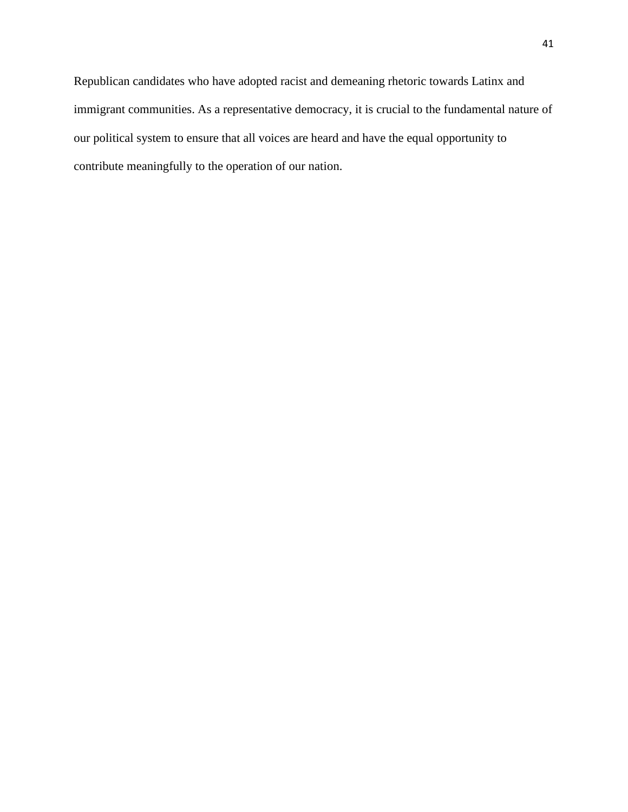Republican candidates who have adopted racist and demeaning rhetoric towards Latinx and immigrant communities. As a representative democracy, it is crucial to the fundamental nature of our political system to ensure that all voices are heard and have the equal opportunity to contribute meaningfully to the operation of our nation.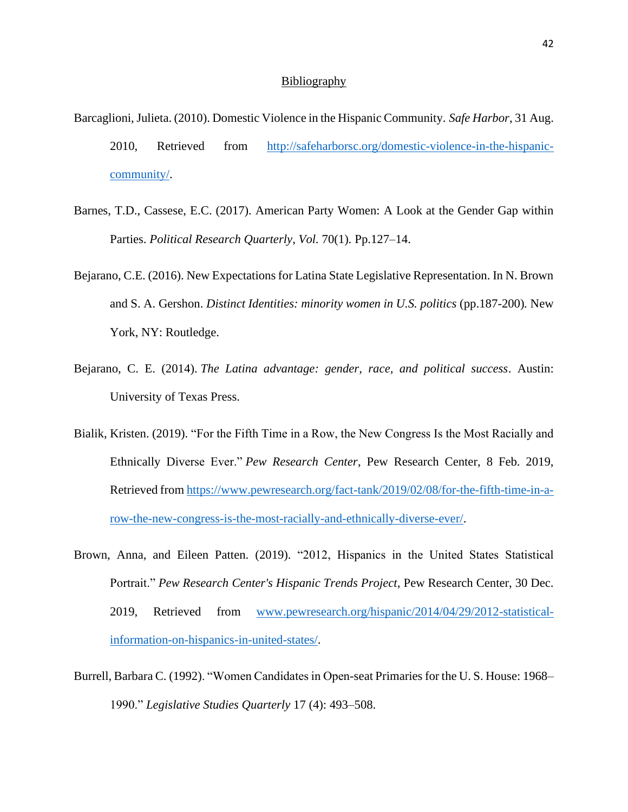#### **Bibliography**

- Barcaglioni, Julieta. (2010). Domestic Violence in the Hispanic Community. *Safe Harbor*, 31 Aug. 2010, Retrieved from [http://safeharborsc.org/domestic-violence-in-the-hispanic](http://safeharborsc.org/domestic-violence-in-the-hispanic-community/)[community/.](http://safeharborsc.org/domestic-violence-in-the-hispanic-community/)
- Barnes, T.D., Cassese, E.C. (2017). American Party Women: A Look at the Gender Gap within Parties. *Political Research Quarterly*, *Vol.* 70(1). Pp.127–14.
- Bejarano, C.E. (2016). New Expectations for Latina State Legislative Representation. In N. Brown and S. A. Gershon. *Distinct Identities: minority women in U.S. politics* (pp.187-200)*.* New York, NY: Routledge.
- Bejarano, C. E. (2014). *The Latina advantage: gender, race, and political success*. Austin: University of Texas Press.
- Bialik, Kristen. (2019). "For the Fifth Time in a Row, the New Congress Is the Most Racially and Ethnically Diverse Ever." *Pew Research Center*, Pew Research Center, 8 Feb. 2019, Retrieved from [https://www.pewresearch.org/fact-tank/2019/02/08/for-the-fifth-time-in-a](https://www.pewresearch.org/fact-tank/2019/02/08/for-the-fifth-time-in-a-row-the-new-congress-is-the-most-racially-and-ethnically-diverse-ever/)[row-the-new-congress-is-the-most-racially-and-ethnically-diverse-ever/.](https://www.pewresearch.org/fact-tank/2019/02/08/for-the-fifth-time-in-a-row-the-new-congress-is-the-most-racially-and-ethnically-diverse-ever/)
- Brown, Anna, and Eileen Patten. (2019). "2012, Hispanics in the United States Statistical Portrait." *Pew Research Center's Hispanic Trends Project*, Pew Research Center, 30 Dec. 2019, Retrieved from [www.pewresearch.org/hispanic/2014/04/29/2012-statistical](http://www.pewresearch.org/hispanic/2014/04/29/2012-statistical-information-on-hispanics-in-united-states/)[information-on-hispanics-in-united-states/.](http://www.pewresearch.org/hispanic/2014/04/29/2012-statistical-information-on-hispanics-in-united-states/)
- Burrell, Barbara C. (1992). "Women Candidates in Open-seat Primaries for the U. S. House: 1968– 1990." *Legislative Studies Quarterly* 17 (4): 493–508.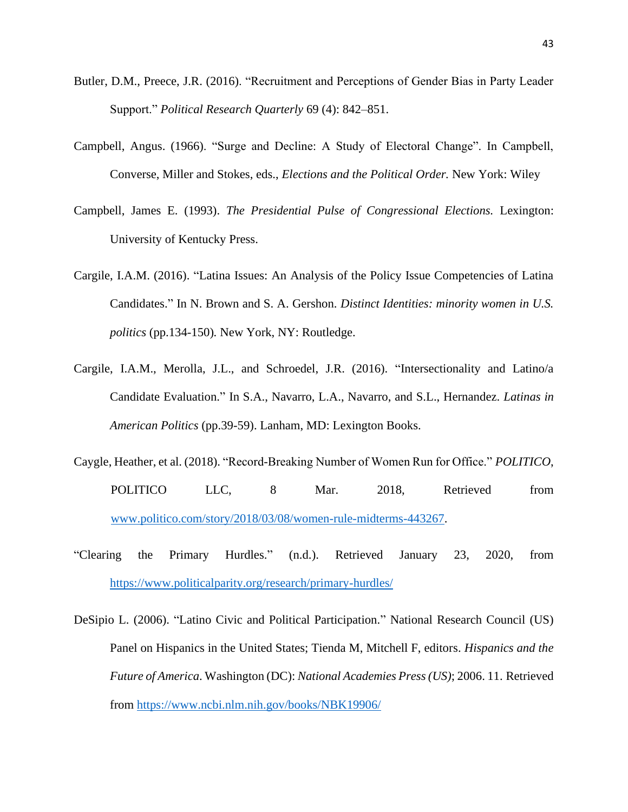- Butler, D.M., Preece, J.R. (2016). "Recruitment and Perceptions of Gender Bias in Party Leader Support." *Political Research Quarterly* 69 (4): 842–851.
- Campbell, Angus. (1966). "Surge and Decline: A Study of Electoral Change". In Campbell, Converse, Miller and Stokes, eds., *Elections and the Political Order.* New York: Wiley
- Campbell, James E. (1993). *The Presidential Pulse of Congressional Elections.* Lexington: University of Kentucky Press.
- Cargile, I.A.M. (2016). "Latina Issues: An Analysis of the Policy Issue Competencies of Latina Candidates." In N. Brown and S. A. Gershon. *Distinct Identities: minority women in U.S. politics* (pp.134-150)*.* New York, NY: Routledge.
- Cargile, I.A.M., Merolla, J.L., and Schroedel, J.R. (2016). "Intersectionality and Latino/a Candidate Evaluation." In S.A., Navarro, L.A., Navarro, and S.L., Hernandez. *Latinas in American Politics* (pp.39-59). Lanham, MD: Lexington Books.
- Caygle, Heather, et al. (2018). "Record-Breaking Number of Women Run for Office." *POLITICO*, POLITICO LLC, 8 Mar. 2018, Retrieved from [www.politico.com/story/2018/03/08/women-rule-midterms-443267.](http://www.politico.com/story/2018/03/08/women-rule-midterms-443267)
- "Clearing the Primary Hurdles." (n.d.). Retrieved January 23, 2020, from <https://www.politicalparity.org/research/primary-hurdles/>
- DeSipio L. (2006). "Latino Civic and Political Participation." National Research Council (US) Panel on Hispanics in the United States; Tienda M, Mitchell F, editors. *Hispanics and the Future of America*. Washington (DC): *National Academies Press (US)*; 2006. 11. Retrieved from<https://www.ncbi.nlm.nih.gov/books/NBK19906/>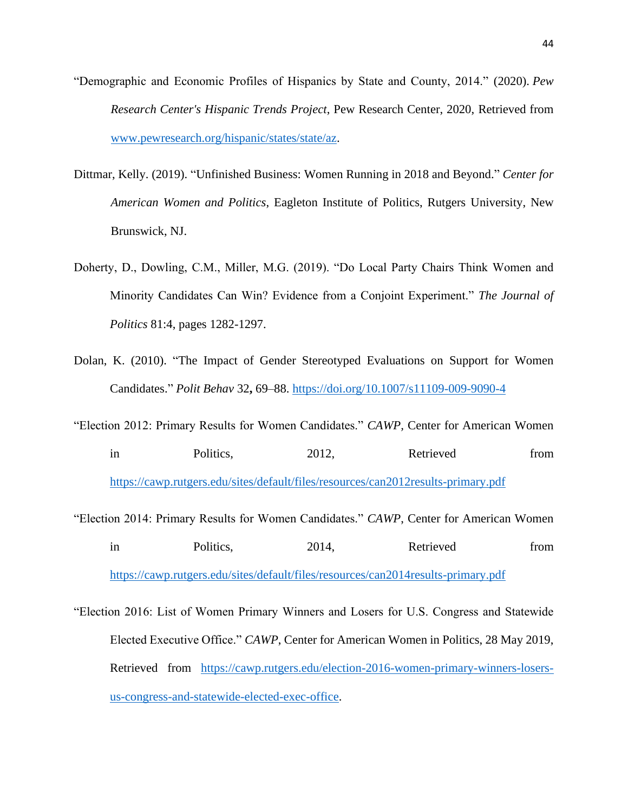- "Demographic and Economic Profiles of Hispanics by State and County, 2014." (2020). *Pew Research Center's Hispanic Trends Project*, Pew Research Center, 2020, Retrieved from [www.pewresearch.org/hispanic/states/state/az.](http://www.pewresearch.org/hispanic/states/state/az)
- Dittmar, Kelly. (2019). "Unfinished Business: Women Running in 2018 and Beyond." *Center for American Women and Politics*, Eagleton Institute of Politics, Rutgers University, New Brunswick, NJ.
- Doherty, D., Dowling, C.M., Miller, M.G. (2019). "Do Local Party Chairs Think Women and Minority Candidates Can Win? Evidence from a Conjoint Experiment." *The Journal of Politics* 81:4, pages 1282-1297.
- Dolan, K. (2010). "The Impact of Gender Stereotyped Evaluations on Support for Women Candidates." *Polit Behav* 32**,** 69–88.<https://doi.org/10.1007/s11109-009-9090-4>
- "Election 2012: Primary Results for Women Candidates." *CAWP,* Center for American Women in Politics, 2012, Retrieved from <https://cawp.rutgers.edu/sites/default/files/resources/can2012results-primary.pdf>
- "Election 2014: Primary Results for Women Candidates." *CAWP*, Center for American Women in Politics, 2014, Retrieved from <https://cawp.rutgers.edu/sites/default/files/resources/can2014results-primary.pdf>
- "Election 2016: List of Women Primary Winners and Losers for U.S. Congress and Statewide Elected Executive Office." *CAWP*, Center for American Women in Politics, 28 May 2019, Retrieved from [https://cawp.rutgers.edu/election-2016-women-primary-winners-losers](https://cawp.rutgers.edu/election-2016-women-primary-winners-losers-us-congress-and-statewide-elected-exec-office)[us-congress-and-statewide-elected-exec-office.](https://cawp.rutgers.edu/election-2016-women-primary-winners-losers-us-congress-and-statewide-elected-exec-office)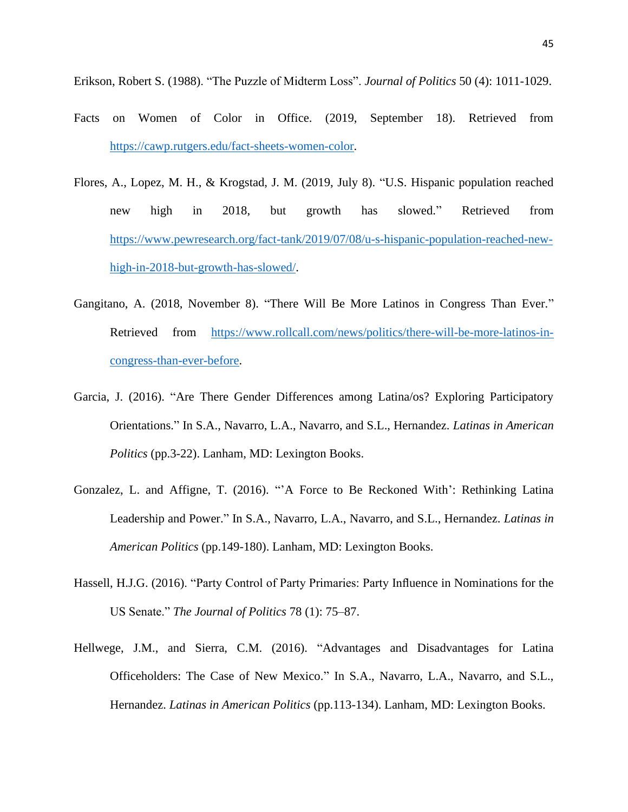Erikson, Robert S. (1988). "The Puzzle of Midterm Loss". *Journal of Politics* 50 (4): 1011-1029.

- Facts on Women of Color in Office. (2019, September 18). Retrieved from [https://cawp.rutgers.edu/fact-sheets-women-color.](https://cawp.rutgers.edu/fact-sheets-women-color)
- Flores, A., Lopez, M. H., & Krogstad, J. M. (2019, July 8). "U.S. Hispanic population reached new high in 2018, but growth has slowed." Retrieved from [https://www.pewresearch.org/fact-tank/2019/07/08/u-s-hispanic-population-reached-new](https://www.pewresearch.org/fact-tank/2019/07/08/u-s-hispanic-population-reached-new-high-in-2018-but-growth-has-slowed/)[high-in-2018-but-growth-has-slowed/.](https://www.pewresearch.org/fact-tank/2019/07/08/u-s-hispanic-population-reached-new-high-in-2018-but-growth-has-slowed/)
- Gangitano, A. (2018, November 8). "There Will Be More Latinos in Congress Than Ever." Retrieved from [https://www.rollcall.com/news/politics/there-will-be-more-latinos-in](https://www.rollcall.com/news/politics/there-will-be-more-latinos-in-congress-than-ever-before)[congress-than-ever-before.](https://www.rollcall.com/news/politics/there-will-be-more-latinos-in-congress-than-ever-before)
- Garcia, J. (2016). "Are There Gender Differences among Latina/os? Exploring Participatory Orientations." In S.A., Navarro, L.A., Navarro, and S.L., Hernandez. *Latinas in American Politics* (pp.3-22). Lanham, MD: Lexington Books.
- Gonzalez, L. and Affigne, T. (2016). "'A Force to Be Reckoned With': Rethinking Latina Leadership and Power." In S.A., Navarro, L.A., Navarro, and S.L., Hernandez. *Latinas in American Politics* (pp.149-180). Lanham, MD: Lexington Books.
- Hassell, H.J.G. (2016). "Party Control of Party Primaries: Party Influence in Nominations for the US Senate." *The Journal of Politics* 78 (1): 75–87.
- Hellwege, J.M., and Sierra, C.M. (2016). "Advantages and Disadvantages for Latina Officeholders: The Case of New Mexico." In S.A., Navarro, L.A., Navarro, and S.L., Hernandez. *Latinas in American Politics* (pp.113-134). Lanham, MD: Lexington Books.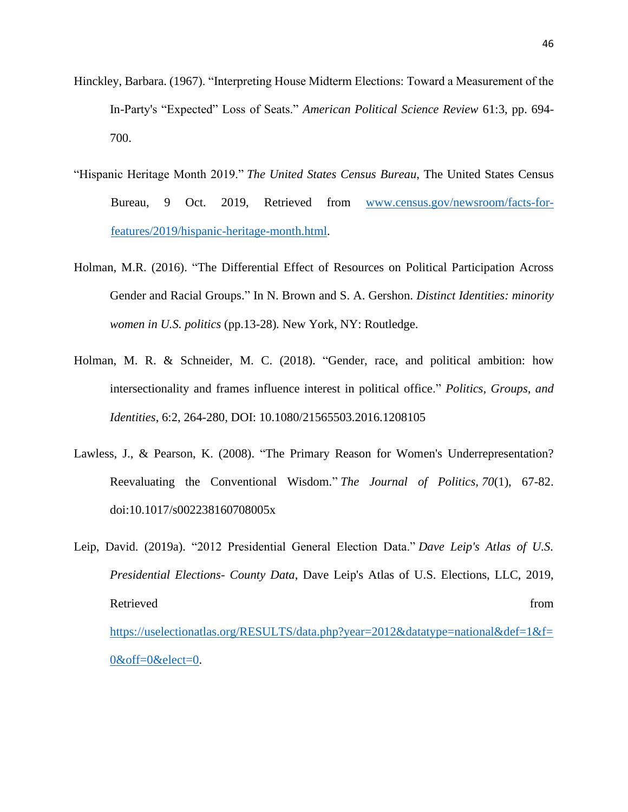- Hinckley, Barbara. (1967). "Interpreting House Midterm Elections: Toward a Measurement of the In-Party's "Expected" Loss of Seats." *American Political Science Review* 61:3, pp. 694- 700.
- "Hispanic Heritage Month 2019." *The United States Census Bureau*, The United States Census Bureau, 9 Oct. 2019, Retrieved from [www.census.gov/newsroom/facts-for](http://www.census.gov/newsroom/facts-for-features/2019/hispanic-heritage-month.html)[features/2019/hispanic-heritage-month.html.](http://www.census.gov/newsroom/facts-for-features/2019/hispanic-heritage-month.html)
- Holman, M.R. (2016). "The Differential Effect of Resources on Political Participation Across Gender and Racial Groups." In N. Brown and S. A. Gershon. *Distinct Identities: minority women in U.S. politics* (pp.13-28)*.* New York, NY: Routledge.
- Holman, M. R. & Schneider, M. C. (2018). "Gender, race, and political ambition: how intersectionality and frames influence interest in political office." *Politics, Groups, and Identities*, 6:2, 264-280, DOI: 10.1080/21565503.2016.1208105
- Lawless, J., & Pearson, K. (2008). "The Primary Reason for Women's Underrepresentation? Reevaluating the Conventional Wisdom." *The Journal of Politics, 70*(1), 67-82. doi:10.1017/s002238160708005x
- Leip, David. (2019a). "2012 Presidential General Election Data." *Dave Leip's Atlas of U.S. Presidential Elections- County Data*, Dave Leip's Atlas of U.S. Elections, LLC, 2019, Retrieved from the state of the state of the state of the state of the state of the state of the state of the state of the state of the state of the state of the state of the state of the state of the state of the state of [https://uselectionatlas.org/RESULTS/data.php?year=2012&datatype=national&def=1&f=](https://uselectionatlas.org/RESULTS/data.php?year=2012&datatype=national&def=1&f=0&off=0&elect=0) [0&off=0&elect=0.](https://uselectionatlas.org/RESULTS/data.php?year=2012&datatype=national&def=1&f=0&off=0&elect=0)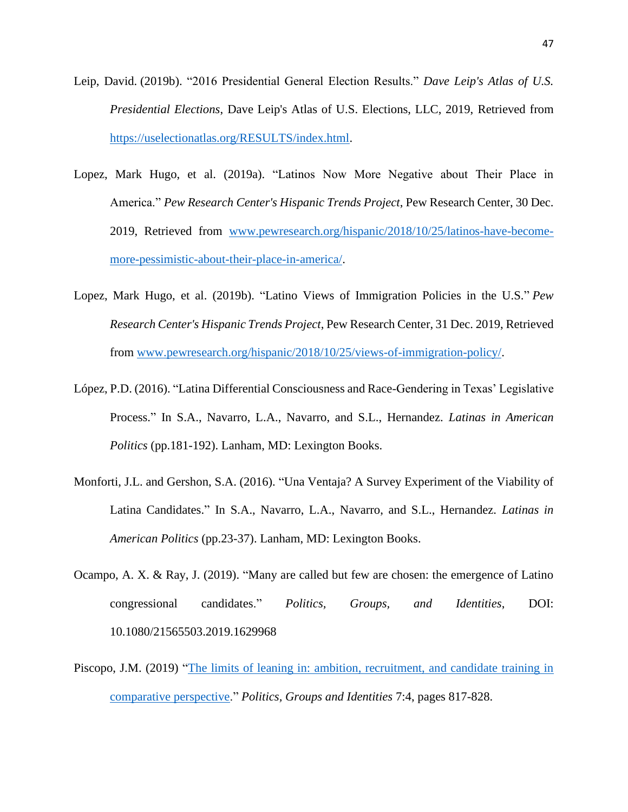- Leip, David. (2019b). "2016 Presidential General Election Results." *Dave Leip's Atlas of U.S. Presidential Elections*, Dave Leip's Atlas of U.S. Elections, LLC, 2019, Retrieved from [https://uselectionatlas.org/RESULTS/index.html.](https://uselectionatlas.org/RESULTS/index.html)
- Lopez, Mark Hugo, et al. (2019a). "Latinos Now More Negative about Their Place in America." *Pew Research Center's Hispanic Trends Project*, Pew Research Center, 30 Dec. 2019, Retrieved from [www.pewresearch.org/hispanic/2018/10/25/latinos-have-become](http://www.pewresearch.org/hispanic/2018/10/25/latinos-have-become-more-pessimistic-about-their-place-in-america/)[more-pessimistic-about-their-place-in-america/.](http://www.pewresearch.org/hispanic/2018/10/25/latinos-have-become-more-pessimistic-about-their-place-in-america/)
- Lopez, Mark Hugo, et al. (2019b). "Latino Views of Immigration Policies in the U.S." *Pew Research Center's Hispanic Trends Project*, Pew Research Center, 31 Dec. 2019, Retrieved from [www.pewresearch.org/hispanic/2018/10/25/views-of-immigration-policy/.](http://www.pewresearch.org/hispanic/2018/10/25/views-of-immigration-policy/)
- López, P.D. (2016). "Latina Differential Consciousness and Race-Gendering in Texas' Legislative Process." In S.A., Navarro, L.A., Navarro, and S.L., Hernandez. *Latinas in American Politics* (pp.181-192). Lanham, MD: Lexington Books.
- Monforti, J.L. and Gershon, S.A. (2016). "Una Ventaja? A Survey Experiment of the Viability of Latina Candidates." In S.A., Navarro, L.A., Navarro, and S.L., Hernandez. *Latinas in American Politics* (pp.23-37). Lanham, MD: Lexington Books.
- Ocampo, A. X. & Ray, J. (2019). "Many are called but few are chosen: the emergence of Latino congressional candidates." *Politics, Groups, and Identities*, DOI: 10.1080/21565503.2019.1629968
- Piscopo, J.M. (2019) ["The limits of leaning in: ambition, recruitment, and candidate training in](https://www.tandfonline.com/doi/abs/10.1080/21565503.2018.1532917)  [comparative perspective.](https://www.tandfonline.com/doi/abs/10.1080/21565503.2018.1532917)" *Politics, Groups and Identities* 7:4, pages 817-828.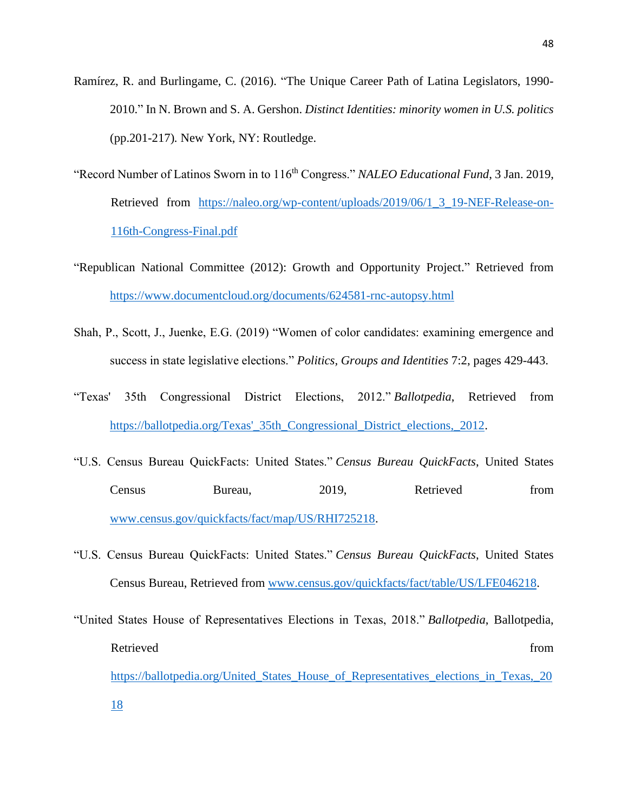- Ramírez, R. and Burlingame, C. (2016). "The Unique Career Path of Latina Legislators, 1990- 2010." In N. Brown and S. A. Gershon. *Distinct Identities: minority women in U.S. politics*  (pp.201-217)*.* New York, NY: Routledge.
- "Record Number of Latinos Sworn in to 116<sup>th</sup> Congress." *NALEO Educational Fund*, 3 Jan. 2019, Retrieved from [https://naleo.org/wp-content/uploads/2019/06/1\\_3\\_19-NEF-Release-on-](https://naleo.org/wp-content/uploads/2019/06/1_3_19-NEF-Release-on-116th-Congress-Final.pdf)[116th-Congress-Final.pdf](https://naleo.org/wp-content/uploads/2019/06/1_3_19-NEF-Release-on-116th-Congress-Final.pdf)
- "Republican National Committee (2012): Growth and Opportunity Project." Retrieved from <https://www.documentcloud.org/documents/624581-rnc-autopsy.html>
- Shah, P., Scott, J., Juenke, E.G. (2019) "Women of color candidates: examining emergence and success in state legislative elections." *Politics, Groups and Identities* 7:2, pages 429-443.
- "Texas' 35th Congressional District Elections, 2012." *Ballotpedia*, Retrieved from [https://ballotpedia.org/Texas'\\_35th\\_Congressional\\_District\\_elections,\\_2012.](https://ballotpedia.org/Texas)
- "U.S. Census Bureau QuickFacts: United States." *Census Bureau QuickFacts*, United States Census Bureau, 2019, Retrieved from [www.census.gov/quickfacts/fact/map/US/RHI725218.](http://www.census.gov/quickfacts/fact/map/US/RHI725218)
- "U.S. Census Bureau QuickFacts: United States." *Census Bureau QuickFacts*, United States Census Bureau, Retrieved from [www.census.gov/quickfacts/fact/table/US/LFE046218.](http://www.census.gov/quickfacts/fact/table/US/LFE046218)
- "United States House of Representatives Elections in Texas, 2018." *Ballotpedia*, Ballotpedia, Retrieved from the state of the state of the state of the state of the state of the state of the state of the state of the state of the state of the state of the state of the state of the state of the state of the state of [https://ballotpedia.org/United\\_States\\_House\\_of\\_Representatives\\_elections\\_in\\_Texas,\\_20](https://ballotpedia.org/United_States_House_of_Representatives_elections_in_Texas,_2018) [18](https://ballotpedia.org/United_States_House_of_Representatives_elections_in_Texas,_2018)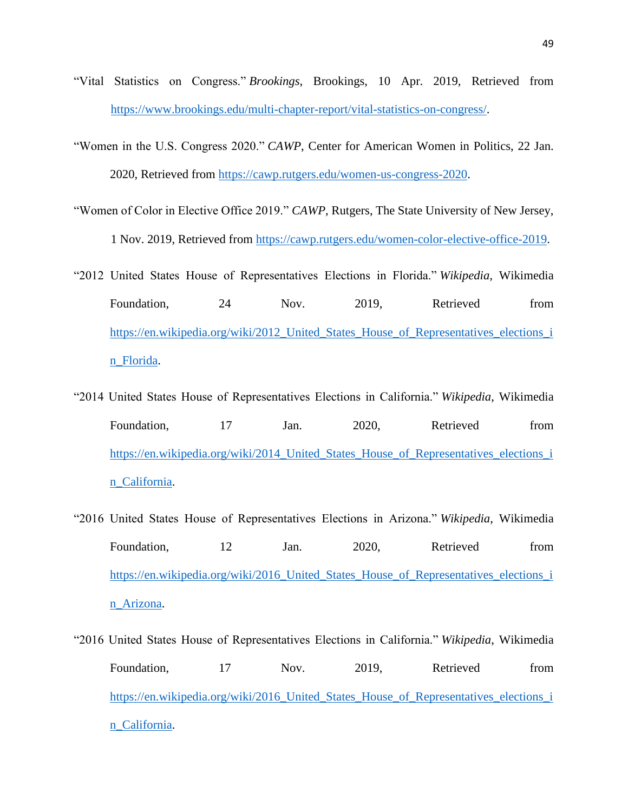- "Vital Statistics on Congress." *Brookings*, Brookings, 10 Apr. 2019, Retrieved from [https://www.brookings.edu/multi-chapter-report/vital-statistics-on-congress/.](https://www.brookings.edu/multi-chapter-report/vital-statistics-on-congress/)
- "Women in the U.S. Congress 2020." *CAWP*, Center for American Women in Politics, 22 Jan. 2020, Retrieved from [https://cawp.rutgers.edu/women-us-congress-2020.](https://cawp.rutgers.edu/women-us-congress-2020)
- "Women of Color in Elective Office 2019." *CAWP*, Rutgers, The State University of New Jersey, 1 Nov. 2019, Retrieved from [https://cawp.rutgers.edu/women-color-elective-office-2019.](https://cawp.rutgers.edu/women-color-elective-office-2019)
- "2012 United States House of Representatives Elections in Florida." *Wikipedia*, Wikimedia Foundation, 24 Nov. 2019, Retrieved from [https://en.wikipedia.org/wiki/2012\\_United\\_States\\_House\\_of\\_Representatives\\_elections\\_i](https://en.wikipedia.org/wiki/2012_United_States_House_of_Representatives_elections_in_Florida) [n\\_Florida.](https://en.wikipedia.org/wiki/2012_United_States_House_of_Representatives_elections_in_Florida)
- "2014 United States House of Representatives Elections in California." *Wikipedia*, Wikimedia Foundation, 17 Jan. 2020, Retrieved from [https://en.wikipedia.org/wiki/2014\\_United\\_States\\_House\\_of\\_Representatives\\_elections\\_i](https://en.wikipedia.org/wiki/2014_United_States_House_of_Representatives_elections_in_California) [n\\_California.](https://en.wikipedia.org/wiki/2014_United_States_House_of_Representatives_elections_in_California)
- "2016 United States House of Representatives Elections in Arizona." *Wikipedia*, Wikimedia Foundation, 12 Jan. 2020, Retrieved from [https://en.wikipedia.org/wiki/2016\\_United\\_States\\_House\\_of\\_Representatives\\_elections\\_i](https://en.wikipedia.org/wiki/2016_United_States_House_of_Representatives_elections_in_Arizona) [n\\_Arizona.](https://en.wikipedia.org/wiki/2016_United_States_House_of_Representatives_elections_in_Arizona)
- "2016 United States House of Representatives Elections in California." *Wikipedia*, Wikimedia Foundation. 17 Nov. 2019. Retrieved from [https://en.wikipedia.org/wiki/2016\\_United\\_States\\_House\\_of\\_Representatives\\_elections\\_i](https://en.wikipedia.org/wiki/2016_United_States_House_of_Representatives_elections_in_California) [n\\_California.](https://en.wikipedia.org/wiki/2016_United_States_House_of_Representatives_elections_in_California)